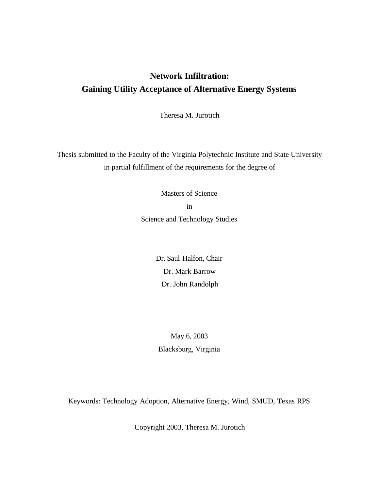## **Network Infiltration: Gaining Utility Acceptance of Alternative Energy Systems**

Theresa M. Jurotich

Thesis submitted to the Faculty of the Virginia Polytechnic Institute and State University in partial fulfillment of the requirements for the degree of

> Masters of Science in Science and Technology Studies

> > Dr. Saul Halfon, Chair Dr. Mark Barrow Dr. John Randolph

May 6, 2003 Blacksburg, Virginia

Keywords: Technology Adoption, Alternative Energy, Wind, SMUD, Texas RPS

Copyright 2003, Theresa M. Jurotich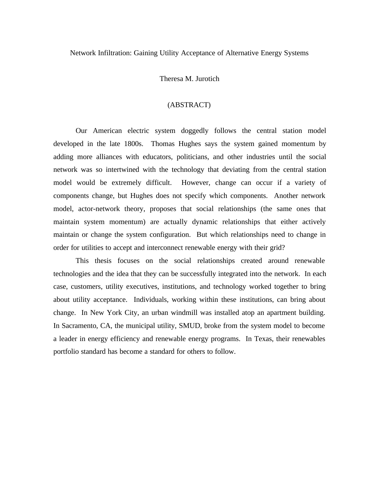Network Infiltration: Gaining Utility Acceptance of Alternative Energy Systems

Theresa M. Jurotich

#### (ABSTRACT)

Our American electric system doggedly follows the central station model developed in the late 1800s. Thomas Hughes says the system gained momentum by adding more alliances with educators, politicians, and other industries until the social network was so intertwined with the technology that deviating from the central station model would be extremely difficult. However, change can occur if a variety of components change, but Hughes does not specify which components. Another network model, actor-network theory, proposes that social relationships (the same ones that maintain system momentum) are actually dynamic relationships that either actively maintain or change the system configuration. But which relationships need to change in order for utilities to accept and interconnect renewable energy with their grid?

This thesis focuses on the social relationships created around renewable technologies and the idea that they can be successfully integrated into the network. In each case, customers, utility executives, institutions, and technology worked together to bring about utility acceptance. Individuals, working within these institutions, can bring about change. In New York City, an urban windmill was installed atop an apartment building. In Sacramento, CA, the municipal utility, SMUD, broke from the system model to become a leader in energy efficiency and renewable energy programs. In Texas, their renewables portfolio standard has become a standard for others to follow.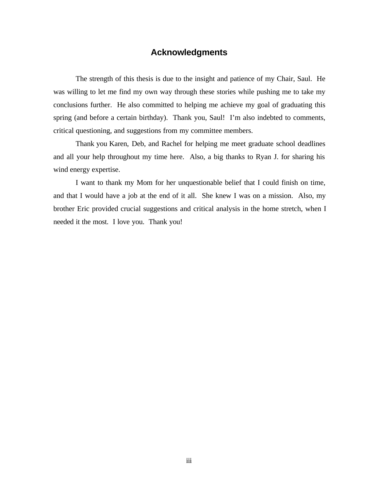## **Acknowledgments**

The strength of this thesis is due to the insight and patience of my Chair, Saul. He was willing to let me find my own way through these stories while pushing me to take my conclusions further. He also committed to helping me achieve my goal of graduating this spring (and before a certain birthday). Thank you, Saul! I'm also indebted to comments, critical questioning, and suggestions from my committee members.

Thank you Karen, Deb, and Rachel for helping me meet graduate school deadlines and all your help throughout my time here. Also, a big thanks to Ryan J. for sharing his wind energy expertise.

I want to thank my Mom for her unquestionable belief that I could finish on time, and that I would have a job at the end of it all. She knew I was on a mission. Also, my brother Eric provided crucial suggestions and critical analysis in the home stretch, when I needed it the most. I love you. Thank you!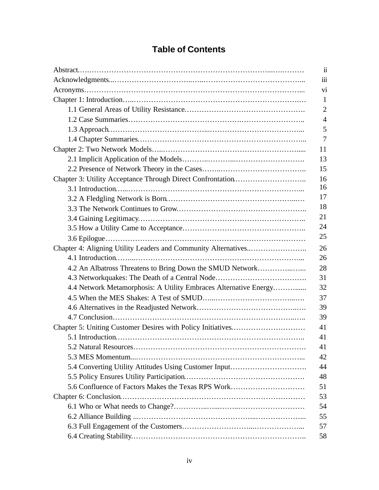| <b>Table of Contents</b> |  |
|--------------------------|--|
|--------------------------|--|

|                                                                  | $\ddot{\mathbf{i}}$ |
|------------------------------------------------------------------|---------------------|
|                                                                  | $\ddot{\mathbf{m}}$ |
|                                                                  | vi                  |
|                                                                  | 1                   |
|                                                                  | $\overline{2}$      |
|                                                                  | $\overline{4}$      |
|                                                                  | 5                   |
|                                                                  | 7                   |
|                                                                  | 11                  |
|                                                                  | 13                  |
|                                                                  | 15                  |
|                                                                  | 16                  |
|                                                                  | 16                  |
|                                                                  | 17                  |
|                                                                  | 18                  |
|                                                                  | 21                  |
|                                                                  | 24                  |
|                                                                  | 25                  |
|                                                                  | 26                  |
|                                                                  | 26                  |
| 4.2 An Albatross Threatens to Bring Down the SMUD Network        | 28                  |
| 4.3 Networkquakes: The Death of a Central Node                   | 31                  |
| 4.4 Network Metamorphosis: A Utility Embraces Alternative Energy | 32                  |
|                                                                  | 37                  |
|                                                                  | 39                  |
|                                                                  | 39                  |
|                                                                  | 41                  |
|                                                                  | 41                  |
|                                                                  | 41                  |
|                                                                  | 42                  |
| 5.4 Converting Utility Attitudes Using Customer Input            | 44                  |
|                                                                  | 48                  |
| 5.6 Confluence of Factors Makes the Texas RPS Work               | 51                  |
|                                                                  | 53                  |
|                                                                  | 54                  |
|                                                                  | 55                  |
|                                                                  | 57                  |
|                                                                  | 58                  |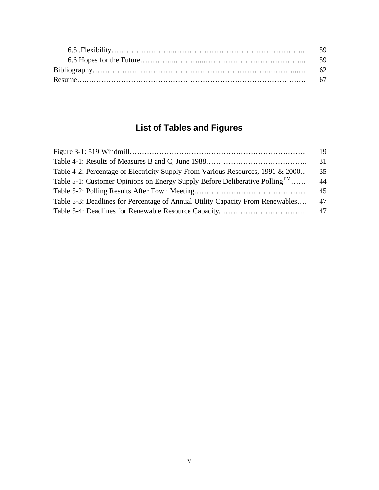# **List of Tables and Figures**

|                                                                                         | 19 |
|-----------------------------------------------------------------------------------------|----|
|                                                                                         | 31 |
| Table 4-2: Percentage of Electricity Supply From Various Resources, 1991 & 2000         | 35 |
| Table 5-1: Customer Opinions on Energy Supply Before Deliberative Polling <sup>TM</sup> | 44 |
|                                                                                         | 45 |
| Table 5-3: Deadlines for Percentage of Annual Utility Capacity From Renewables          | 47 |
|                                                                                         | 47 |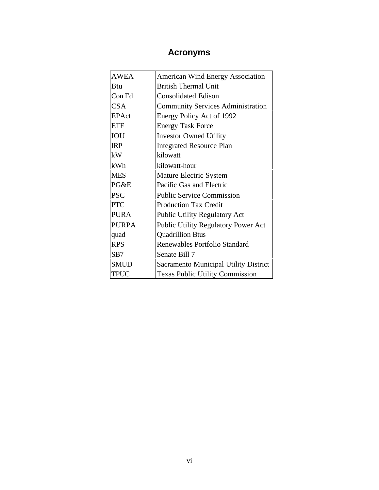## **Acronyms**

| <b>AWEA</b>  | <b>American Wind Energy Association</b>  |
|--------------|------------------------------------------|
| Btu          | <b>British Thermal Unit</b>              |
| Con Ed       | <b>Consolidated Edison</b>               |
| <b>CSA</b>   | <b>Community Services Administration</b> |
| <b>EPAct</b> | Energy Policy Act of 1992                |
| <b>ETF</b>   | <b>Energy Task Force</b>                 |
| IOU          | <b>Investor Owned Utility</b>            |
| <b>IRP</b>   | <b>Integrated Resource Plan</b>          |
| kW           | kilowatt                                 |
| kWh          | kilowatt-hour                            |
| <b>MES</b>   | Mature Electric System                   |
| PG&E         | Pacific Gas and Electric                 |
| <b>PSC</b>   | <b>Public Service Commission</b>         |
| <b>PTC</b>   | <b>Production Tax Credit</b>             |
| <b>PURA</b>  | <b>Public Utility Regulatory Act</b>     |
| <b>PURPA</b> | Public Utility Regulatory Power Act      |
| quad         | <b>Quadrillion Btus</b>                  |
| <b>RPS</b>   | Renewables Portfolio Standard            |
| SB7          | Senate Bill 7                            |
| <b>SMUD</b>  | Sacramento Municipal Utility District    |
| <b>TPUC</b>  | <b>Texas Public Utility Commission</b>   |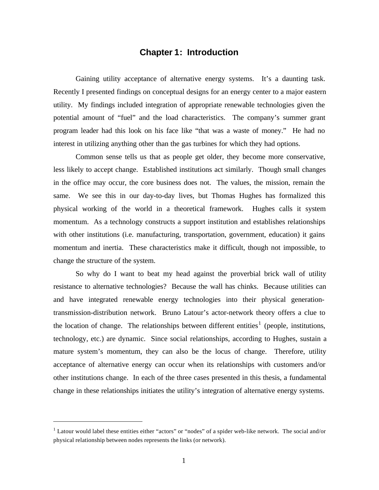## **Chapter 1: Introduction**

Gaining utility acceptance of alternative energy systems. It's a daunting task. Recently I presented findings on conceptual designs for an energy center to a major eastern utility. My findings included integration of appropriate renewable technologies given the potential amount of "fuel" and the load characteristics. The company's summer grant program leader had this look on his face like "that was a waste of money." He had no interest in utilizing anything other than the gas turbines for which they had options.

Common sense tells us that as people get older, they become more conservative, less likely to accept change. Established institutions act similarly. Though small changes in the office may occur, the core business does not. The values, the mission, remain the same. We see this in our day-to-day lives, but Thomas Hughes has formalized this physical working of the world in a theoretical framework. Hughes calls it system momentum. As a technology constructs a support institution and establishes relationships with other institutions (i.e. manufacturing, transportation, government, education) it gains momentum and inertia. These characteristics make it difficult, though not impossible, to change the structure of the system.

So why do I want to beat my head against the proverbial brick wall of utility resistance to alternative technologies? Because the wall has chinks. Because utilities can and have integrated renewable energy technologies into their physical generationtransmission-distribution network. Bruno Latour's actor-network theory offers a clue to the location of change. The relationships between different entities<sup>1</sup> (people, institutions, technology, etc.) are dynamic. Since social relationships, according to Hughes, sustain a mature system's momentum, they can also be the locus of change. Therefore, utility acceptance of alternative energy can occur when its relationships with customers and/or other institutions change. In each of the three cases presented in this thesis, a fundamental change in these relationships initiates the utility's integration of alternative energy systems.

<sup>&</sup>lt;sup>1</sup> Latour would label these entities either "actors" or "nodes" of a spider web-like network. The social and/or physical relationship between nodes represents the links (or network).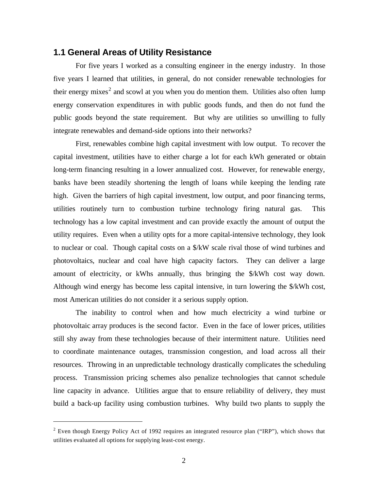#### **1.1 General Areas of Utility Resistance**

For five years I worked as a consulting engineer in the energy industry. In those five years I learned that utilities, in general, do not consider renewable technologies for their energy mixes<sup>2</sup> and scowl at you when you do mention them. Utilities also often lump energy conservation expenditures in with public goods funds, and then do not fund the public goods beyond the state requirement. But why are utilities so unwilling to fully integrate renewables and demand-side options into their networks?

First, renewables combine high capital investment with low output. To recover the capital investment, utilities have to either charge a lot for each kWh generated or obtain long-term financing resulting in a lower annualized cost. However, for renewable energy, banks have been steadily shortening the length of loans while keeping the lending rate high. Given the barriers of high capital investment, low output, and poor financing terms, utilities routinely turn to combustion turbine technology firing natural gas. This technology has a low capital investment and can provide exactly the amount of output the utility requires. Even when a utility opts for a more capital-intensive technology, they look to nuclear or coal. Though capital costs on a \$/kW scale rival those of wind turbines and photovoltaics, nuclear and coal have high capacity factors. They can deliver a large amount of electricity, or kWhs annually, thus bringing the \$/kWh cost way down. Although wind energy has become less capital intensive, in turn lowering the \$/kWh cost, most American utilities do not consider it a serious supply option.

The inability to control when and how much electricity a wind turbine or photovoltaic array produces is the second factor. Even in the face of lower prices, utilities still shy away from these technologies because of their intermittent nature. Utilities need to coordinate maintenance outages, transmission congestion, and load across all their resources. Throwing in an unpredictable technology drastically complicates the scheduling process. Transmission pricing schemes also penalize technologies that cannot schedule line capacity in advance. Utilities argue that to ensure reliability of delivery, they must build a back-up facility using combustion turbines. Why build two plants to supply the

 $2$  Even though Energy Policy Act of 1992 requires an integrated resource plan ("IRP"), which shows that utilities evaluated all options for supplying least-cost energy.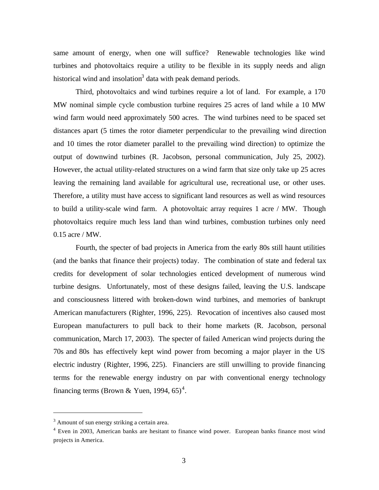same amount of energy, when one will suffice? Renewable technologies like wind turbines and photovoltaics require a utility to be flexible in its supply needs and align historical wind and insolation<sup>3</sup> data with peak demand periods.

Third, photovoltaics and wind turbines require a lot of land. For example, a 170 MW nominal simple cycle combustion turbine requires 25 acres of land while a 10 MW wind farm would need approximately 500 acres. The wind turbines need to be spaced set distances apart (5 times the rotor diameter perpendicular to the prevailing wind direction and 10 times the rotor diameter parallel to the prevailing wind direction) to optimize the output of downwind turbines (R. Jacobson, personal communication, July 25, 2002). However, the actual utility-related structures on a wind farm that size only take up 25 acres leaving the remaining land available for agricultural use, recreational use, or other uses. Therefore, a utility must have access to significant land resources as well as wind resources to build a utility-scale wind farm. A photovoltaic array requires 1 acre / MW. Though photovoltaics require much less land than wind turbines, combustion turbines only need 0.15 acre / MW.

Fourth, the specter of bad projects in America from the early 80s still haunt utilities (and the banks that finance their projects) today. The combination of state and federal tax credits for development of solar technologies enticed development of numerous wind turbine designs. Unfortunately, most of these designs failed, leaving the U.S. landscape and consciousness littered with broken-down wind turbines, and memories of bankrupt American manufacturers (Righter, 1996, 225). Revocation of incentives also caused most European manufacturers to pull back to their home markets (R. Jacobson, personal communication, March 17, 2003). The specter of failed American wind projects during the 70s and 80s has effectively kept wind power from becoming a major player in the US electric industry (Righter, 1996, 225). Financiers are still unwilling to provide financing terms for the renewable energy industry on par with conventional energy technology financing terms (Brown & Yuen, 1994,  $65)^4$ .

 $3$  Amount of sun energy striking a certain area.

<sup>&</sup>lt;sup>4</sup> Even in 2003, American banks are hesitant to finance wind power. European banks finance most wind projects in America.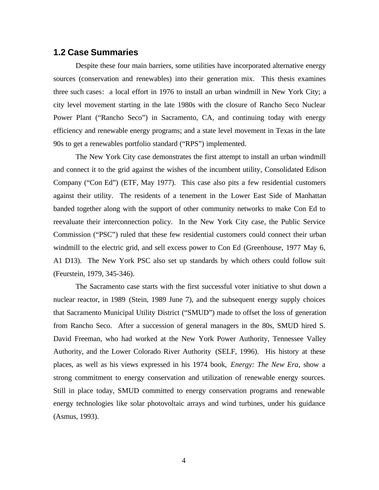#### **1.2 Case Summaries**

Despite these four main barriers, some utilities have incorporated alternative energy sources (conservation and renewables) into their generation mix. This thesis examines three such cases: a local effort in 1976 to install an urban windmill in New York City; a city level movement starting in the late 1980s with the closure of Rancho Seco Nuclear Power Plant ("Rancho Seco") in Sacramento, CA, and continuing today with energy efficiency and renewable energy programs; and a state level movement in Texas in the late 90s to get a renewables portfolio standard ("RPS") implemented.

The New York City case demonstrates the first attempt to install an urban windmill and connect it to the grid against the wishes of the incumbent utility, Consolidated Edison Company ("Con Ed") (ETF, May 1977). This case also pits a few residential customers against their utility. The residents of a tenement in the Lower East Side of Manhattan banded together along with the support of other community networks to make Con Ed to reevaluate their interconnection policy. In the New York City case, the Public Service Commission ("PSC") ruled that these few residential customers could connect their urban windmill to the electric grid, and sell excess power to Con Ed (Greenhouse, 1977 May 6, A1 D13). The New York PSC also set up standards by which others could follow suit (Feurstein, 1979, 345-346).

The Sacramento case starts with the first successful voter initiative to shut down a nuclear reactor, in 1989 (Stein, 1989 June 7), and the subsequent energy supply choices that Sacramento Municipal Utility District ("SMUD") made to offset the loss of generation from Rancho Seco. After a succession of general managers in the 80s, SMUD hired S. David Freeman, who had worked at the New York Power Authority, Tennessee Valley Authority, and the Lower Colorado River Authority (SELF, 1996). His history at these places, as well as his views expressed in his 1974 book, *Energy: The New Era*, show a strong commitment to energy conservation and utilization of renewable energy sources. Still in place today, SMUD committed to energy conservation programs and renewable energy technologies like solar photovoltaic arrays and wind turbines, under his guidance (Asmus, 1993).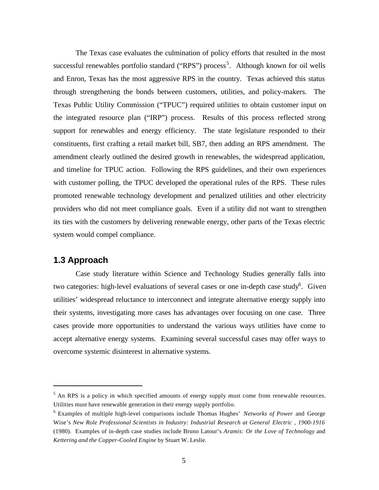The Texas case evaluates the culmination of policy efforts that resulted in the most successful renewables portfolio standard ("RPS") process<sup>5</sup>. Although known for oil wells and Enron, Texas has the most aggressive RPS in the country. Texas achieved this status through strengthening the bonds between customers, utilities, and policy-makers. The Texas Public Utility Commission ("TPUC") required utilities to obtain customer input on the integrated resource plan ("IRP") process. Results of this process reflected strong support for renewables and energy efficiency. The state legislature responded to their constituents, first crafting a retail market bill, SB7, then adding an RPS amendment. The amendment clearly outlined the desired growth in renewables, the widespread application, and timeline for TPUC action. Following the RPS guidelines, and their own experiences with customer polling, the TPUC developed the operational rules of the RPS. These rules promoted renewable technology development and penalized utilities and other electricity providers who did not meet compliance goals. Even if a utility did not want to strengthen its ties with the customers by delivering renewable energy, other parts of the Texas electric system would compel compliance.

## **1.3 Approach**

 $\overline{a}$ 

Case study literature within Science and Technology Studies generally falls into two categories: high-level evaluations of several cases or one in-depth case study<sup>6</sup>. Given utilities' widespread reluctance to interconnect and integrate alternative energy supply into their systems, investigating more cases has advantages over focusing on one case. Three cases provide more opportunities to understand the various ways utilities have come to accept alternative energy systems. Examining several successful cases may offer ways to overcome systemic disinterest in alternative systems.

<sup>&</sup>lt;sup>5</sup> An RPS is a policy in which specified amounts of energy supply must come from renewable resources. Utilities must have renewable generation in their energy supply portfolio.

<sup>6</sup> Examples of multiple high-level comparisons include Thomas Hughes' *Networks of Power* and George Wise's *New Role Professional Scientists in Industry: Industrial Research at General Electric , 1900-1916* (1980). Examples of in-depth case studies include Bruno Latour's *Aramis: Or the Love of Technology* and *Kettering and the Copper-Cooled Engine* by Stuart W. Leslie.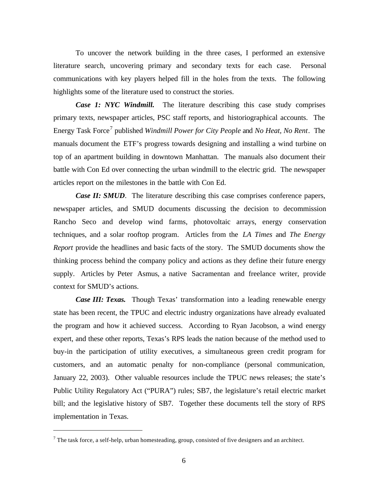To uncover the network building in the three cases, I performed an extensive literature search, uncovering primary and secondary texts for each case. Personal communications with key players helped fill in the holes from the texts. The following highlights some of the literature used to construct the stories.

*Case 1: NYC Windmill.* The literature describing this case study comprises primary texts, newspaper articles, PSC staff reports, and historiographical accounts. The Energy Task Force<sup>7</sup> published *Windmill Power for City People* and *No Heat, No Rent*. The manuals document the ETF's progress towards designing and installing a wind turbine on top of an apartment building in downtown Manhattan. The manuals also document their battle with Con Ed over connecting the urban windmill to the electric grid. The newspaper articles report on the milestones in the battle with Con Ed.

*Case II: SMUD.* The literature describing this case comprises conference papers, newspaper articles, and SMUD documents discussing the decision to decommission Rancho Seco and develop wind farms, photovoltaic arrays, energy conservation techniques, and a solar rooftop program. Articles from the *LA Times* and *The Energy Report* provide the headlines and basic facts of the story. The SMUD documents show the thinking process behind the company policy and actions as they define their future energy supply. Articles by Peter Asmus, a native Sacramentan and freelance writer, provide context for SMUD's actions.

*Case III: Texas.* Though Texas' transformation into a leading renewable energy state has been recent, the TPUC and electric industry organizations have already evaluated the program and how it achieved success. According to Ryan Jacobson, a wind energy expert, and these other reports, Texas's RPS leads the nation because of the method used to buy-in the participation of utility executives, a simultaneous green credit program for customers, and an automatic penalty for non-compliance (personal communication, January 22, 2003). Other valuable resources include the TPUC news releases; the state's Public Utility Regulatory Act ("PURA") rules; SB7, the legislature's retail electric market bill; and the legislative history of SB7. Together these documents tell the story of RPS implementation in Texas.

 $<sup>7</sup>$  The task force, a self-help, urban homesteading, group, consisted of five designers and an architect.</sup>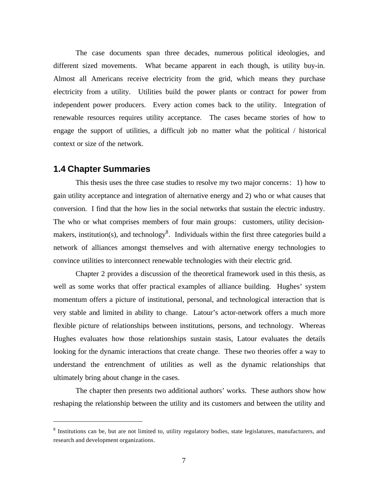The case documents span three decades, numerous political ideologies, and different sized movements. What became apparent in each though, is utility buy-in. Almost all Americans receive electricity from the grid, which means they purchase electricity from a utility. Utilities build the power plants or contract for power from independent power producers. Every action comes back to the utility. Integration of renewable resources requires utility acceptance. The cases became stories of how to engage the support of utilities, a difficult job no matter what the political / historical context or size of the network.

#### **1.4 Chapter Summaries**

 $\overline{a}$ 

This thesis uses the three case studies to resolve my two major concerns: 1) how to gain utility acceptance and integration of alternative energy and 2) who or what causes that conversion. I find that the how lies in the social networks that sustain the electric industry. The who or what comprises members of four main groups: customers, utility decisionmakers, institution(s), and technology<sup>8</sup>. Individuals within the first three categories build a network of alliances amongst themselves and with alternative energy technologies to convince utilities to interconnect renewable technologies with their electric grid.

Chapter 2 provides a discussion of the theoretical framework used in this thesis, as well as some works that offer practical examples of alliance building. Hughes' system momentum offers a picture of institutional, personal, and technological interaction that is very stable and limited in ability to change. Latour's actor-network offers a much more flexible picture of relationships between institutions, persons, and technology. Whereas Hughes evaluates how those relationships sustain stasis, Latour evaluates the details looking for the dynamic interactions that create change. These two theories offer a way to understand the entrenchment of utilities as well as the dynamic relationships that ultimately bring about change in the cases.

The chapter then presents two additional authors' works. These authors show how reshaping the relationship between the utility and its customers and between the utility and

<sup>&</sup>lt;sup>8</sup> Institutions can be, but are not limited to, utility regulatory bodies, state legislatures, manufacturers, and research and development organizations.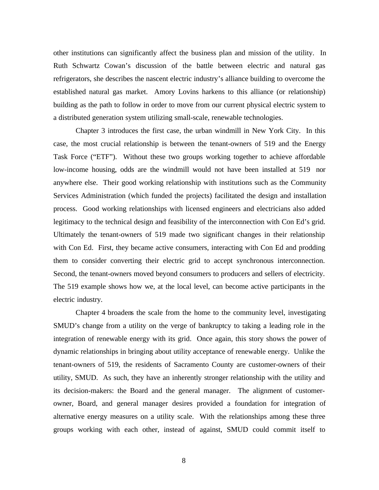other institutions can significantly affect the business plan and mission of the utility. In Ruth Schwartz Cowan's discussion of the battle between electric and natural gas refrigerators, she describes the nascent electric industry's alliance building to overcome the established natural gas market. Amory Lovins harkens to this alliance (or relationship) building as the path to follow in order to move from our current physical electric system to a distributed generation system utilizing small-scale, renewable technologies.

Chapter 3 introduces the first case, the urban windmill in New York City. In this case, the most crucial relationship is between the tenant-owners of 519 and the Energy Task Force ("ETF"). Without these two groups working together to achieve affordable low-income housing, odds are the windmill would not have been installed at 519 nor anywhere else. Their good working relationship with institutions such as the Community Services Administration (which funded the projects) facilitated the design and installation process. Good working relationships with licensed engineers and electricians also added legitimacy to the technical design and feasibility of the interconnection with Con Ed's grid. Ultimately the tenant-owners of 519 made two significant changes in their relationship with Con Ed. First, they became active consumers, interacting with Con Ed and prodding them to consider converting their electric grid to accept synchronous interconnection. Second, the tenant-owners moved beyond consumers to producers and sellers of electricity. The 519 example shows how we, at the local level, can become active participants in the electric industry.

Chapter 4 broadens the scale from the home to the community level, investigating SMUD's change from a utility on the verge of bankruptcy to taking a leading role in the integration of renewable energy with its grid. Once again, this story shows the power of dynamic relationships in bringing about utility acceptance of renewable energy. Unlike the tenant-owners of 519, the residents of Sacramento County are customer-owners of their utility, SMUD. As such, they have an inherently stronger relationship with the utility and its decision-makers: the Board and the general manager. The alignment of customerowner, Board, and general manager desires provided a foundation for integration of alternative energy measures on a utility scale. With the relationships among these three groups working with each other, instead of against, SMUD could commit itself to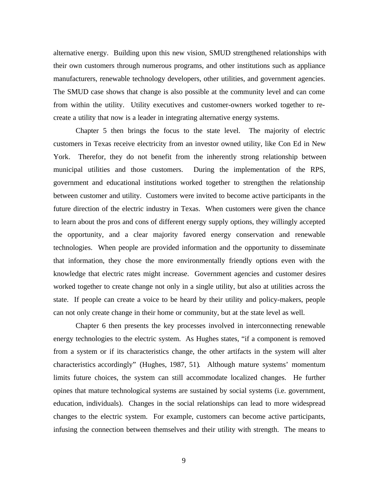alternative energy. Building upon this new vision, SMUD strengthened relationships with their own customers through numerous programs, and other institutions such as appliance manufacturers, renewable technology developers, other utilities, and government agencies. The SMUD case shows that change is also possible at the community level and can come from within the utility. Utility executives and customer-owners worked together to recreate a utility that now is a leader in integrating alternative energy systems.

Chapter 5 then brings the focus to the state level. The majority of electric customers in Texas receive electricity from an investor owned utility, like Con Ed in New York. Therefor, they do not benefit from the inherently strong relationship between municipal utilities and those customers. During the implementation of the RPS, government and educational institutions worked together to strengthen the relationship between customer and utility. Customers were invited to become active participants in the future direction of the electric industry in Texas. When customers were given the chance to learn about the pros and cons of different energy supply options, they willingly accepted the opportunity, and a clear majority favored energy conservation and renewable technologies. When people are provided information and the opportunity to disseminate that information, they chose the more environmentally friendly options even with the knowledge that electric rates might increase. Government agencies and customer desires worked together to create change not only in a single utility, but also at utilities across the state. If people can create a voice to be heard by their utility and policy-makers, people can not only create change in their home or community, but at the state level as well.

Chapter 6 then presents the key processes involved in interconnecting renewable energy technologies to the electric system. As Hughes states, "if a component is removed from a system or if its characteristics change, the other artifacts in the system will alter characteristics accordingly" (Hughes, 1987, 51). Although mature systems' momentum limits future choices, the system can still accommodate localized changes. He further opines that mature technological systems are sustained by social systems (i.e. government, education, individuals). Changes in the social relationships can lead to more widespread changes to the electric system. For example, customers can become active participants, infusing the connection between themselves and their utility with strength. The means to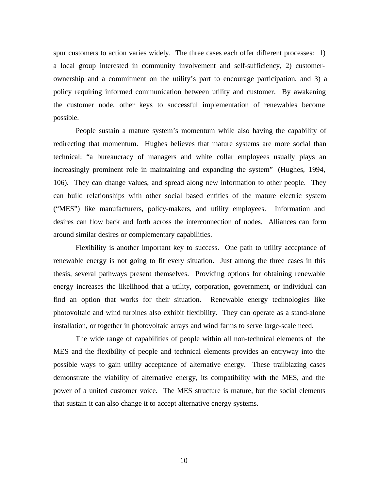spur customers to action varies widely. The three cases each offer different processes: 1) a local group interested in community involvement and self-sufficiency, 2) customerownership and a commitment on the utility's part to encourage participation, and 3) a policy requiring informed communication between utility and customer. By awakening the customer node, other keys to successful implementation of renewables become possible.

People sustain a mature system's momentum while also having the capability of redirecting that momentum. Hughes believes that mature systems are more social than technical: "a bureaucracy of managers and white collar employees usually plays an increasingly prominent role in maintaining and expanding the system" (Hughes, 1994, 106). They can change values, and spread along new information to other people. They can build relationships with other social based entities of the mature electric system ("MES") like manufacturers, policy-makers, and utility employees. Information and desires can flow back and forth across the interconnection of nodes. Alliances can form around similar desires or complementary capabilities.

Flexibility is another important key to success. One path to utility acceptance of renewable energy is not going to fit every situation. Just among the three cases in this thesis, several pathways present themselves. Providing options for obtaining renewable energy increases the likelihood that a utility, corporation, government, or individual can find an option that works for their situation. Renewable energy technologies like photovoltaic and wind turbines also exhibit flexibility. They can operate as a stand-alone installation, or together in photovoltaic arrays and wind farms to serve large-scale need.

The wide range of capabilities of people within all non-technical elements of the MES and the flexibility of people and technical elements provides an entryway into the possible ways to gain utility acceptance of alternative energy. These trailblazing cases demonstrate the viability of alternative energy, its compatibility with the MES, and the power of a united customer voice. The MES structure is mature, but the social elements that sustain it can also change it to accept alternative energy systems.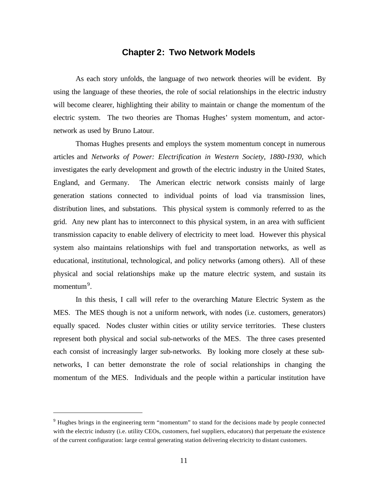## **Chapter 2: Two Network Models**

As each story unfolds, the language of two network theories will be evident. By using the language of these theories, the role of social relationships in the electric industry will become clearer, highlighting their ability to maintain or change the momentum of the electric system. The two theories are Thomas Hughes' system momentum, and actornetwork as used by Bruno Latour.

Thomas Hughes presents and employs the system momentum concept in numerous articles and *Networks of Power: Electrification in Western Society, 1880-1930,* which investigates the early development and growth of the electric industry in the United States, England, and Germany. The American electric network consists mainly of large generation stations connected to individual points of load via transmission lines, distribution lines, and substations. This physical system is commonly referred to as the grid. Any new plant has to interconnect to this physical system, in an area with sufficient transmission capacity to enable delivery of electricity to meet load. However this physical system also maintains relationships with fuel and transportation networks, as well as educational, institutional, technological, and policy networks (among others). All of these physical and social relationships make up the mature electric system, and sustain its momentum<sup>9</sup>.

In this thesis, I call will refer to the overarching Mature Electric System as the MES. The MES though is not a uniform network, with nodes (i.e. customers, generators) equally spaced. Nodes cluster within cities or utility service territories. These clusters represent both physical and social sub-networks of the MES. The three cases presented each consist of increasingly larger sub-networks. By looking more closely at these subnetworks, I can better demonstrate the role of social relationships in changing the momentum of the MES. Individuals and the people within a particular institution have

<sup>&</sup>lt;sup>9</sup> Hughes brings in the engineering term "momentum" to stand for the decisions made by people connected with the electric industry (i.e. utility CEOs, customers, fuel suppliers, educators) that perpetuate the existence of the current configuration: large central generating station delivering electricity to distant customers.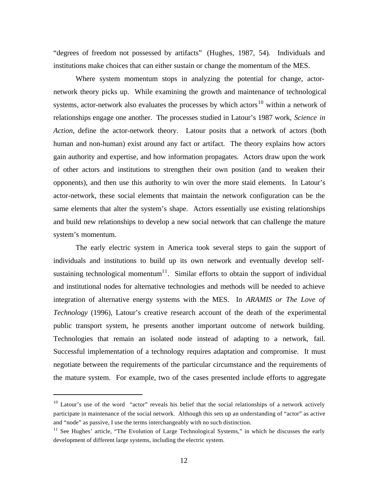"degrees of freedom not possessed by artifacts" (Hughes, 1987, 54). Individuals and institutions make choices that can either sustain or change the momentum of the MES.

Where system momentum stops in analyzing the potential for change, actornetwork theory picks up. While examining the growth and maintenance of technological systems, actor-network also evaluates the processes by which actors<sup>10</sup> within a network of relationships engage one another. The processes studied in Latour's 1987 work, *Science in Action,* define the actor-network theory. Latour posits that a network of actors (both human and non-human) exist around any fact or artifact. The theory explains how actors gain authority and expertise, and how information propagates. Actors draw upon the work of other actors and institutions to strengthen their own position (and to weaken their opponents), and then use this authority to win over the more staid elements. In Latour's actor-network, these social elements that maintain the network configuration can be the same elements that alter the system's shape. Actors essentially use existing relationships and build new relationships to develop a new social network that can challenge the mature system's momentum.

The early electric system in America took several steps to gain the support of individuals and institutions to build up its own network and eventually develop selfsustaining technological momentum<sup>11</sup>. Similar efforts to obtain the support of individual and institutional nodes for alternative technologies and methods will be needed to achieve integration of alternative energy systems with the MES. In *ARAMIS or The Love of Technology* (1996), Latour's creative research account of the death of the experimental public transport system, he presents another important outcome of network building. Technologies that remain an isolated node instead of adapting to a network, fail. Successful implementation of a technology requires adaptation and compromise. It must negotiate between the requirements of the particular circumstance and the requirements of the mature system. For example, two of the cases presented include efforts to aggregate

 $10$  Latour's use of the word "actor" reveals his belief that the social relationships of a network actively participate in maintenance of the social network. Although this sets up an understanding of "actor" as active and "node" as passive, I use the terms interchangeably with no such distinction.

<sup>&</sup>lt;sup>11</sup> See Hughes' article, "The Evolution of Large Technological Systems," in which he discusses the early development of different large systems, including the electric system.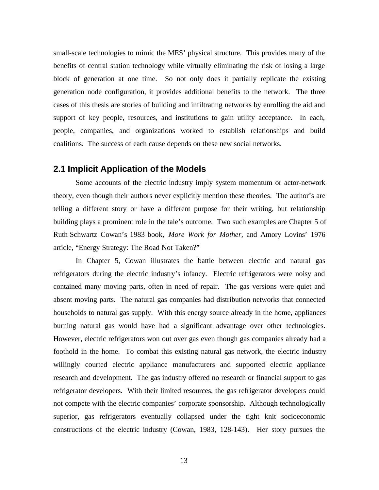small-scale technologies to mimic the MES' physical structure. This provides many of the benefits of central station technology while virtually eliminating the risk of losing a large block of generation at one time. So not only does it partially replicate the existing generation node configuration, it provides additional benefits to the network. The three cases of this thesis are stories of building and infiltrating networks by enrolling the aid and support of key people, resources, and institutions to gain utility acceptance. In each, people, companies, and organizations worked to establish relationships and build coalitions. The success of each cause depends on these new social networks.

#### **2.1 Implicit Application of the Models**

Some accounts of the electric industry imply system momentum or actor-network theory, even though their authors never explicitly mention these theories. The author's are telling a different story or have a different purpose for their writing, but relationship building plays a prominent role in the tale's outcome. Two such examples are Chapter 5 of Ruth Schwartz Cowan's 1983 book, *More Work for Mother,* and Amory Lovins' 1976 article, "Energy Strategy: The Road Not Taken?"

In Chapter 5, Cowan illustrates the battle between electric and natural gas refrigerators during the electric industry's infancy. Electric refrigerators were noisy and contained many moving parts, often in need of repair. The gas versions were quiet and absent moving parts. The natural gas companies had distribution networks that connected households to natural gas supply. With this energy source already in the home, appliances burning natural gas would have had a significant advantage over other technologies. However, electric refrigerators won out over gas even though gas companies already had a foothold in the home. To combat this existing natural gas network, the electric industry willingly courted electric appliance manufacturers and supported electric appliance research and development. The gas industry offered no research or financial support to gas refrigerator developers. With their limited resources, the gas refrigerator developers could not compete with the electric companies' corporate sponsorship. Although technologically superior, gas refrigerators eventually collapsed under the tight knit socioeconomic constructions of the electric industry (Cowan, 1983, 128-143). Her story pursues the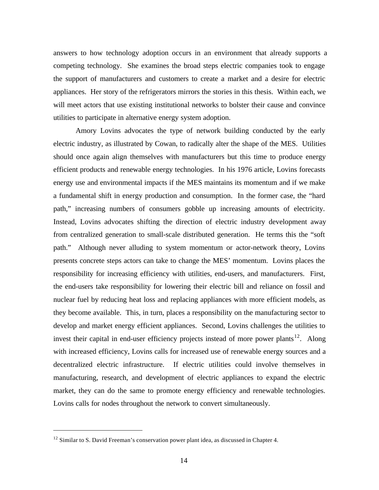answers to how technology adoption occurs in an environment that already supports a competing technology. She examines the broad steps electric companies took to engage the support of manufacturers and customers to create a market and a desire for electric appliances. Her story of the refrigerators mirrors the stories in this thesis. Within each, we will meet actors that use existing institutional networks to bolster their cause and convince utilities to participate in alternative energy system adoption.

Amory Lovins advocates the type of network building conducted by the early electric industry, as illustrated by Cowan, to radically alter the shape of the MES. Utilities should once again align themselves with manufacturers but this time to produce energy efficient products and renewable energy technologies. In his 1976 article, Lovins forecasts energy use and environmental impacts if the MES maintains its momentum and if we make a fundamental shift in energy production and consumption. In the former case, the "hard path," increasing numbers of consumers gobble up increasing amounts of electricity. Instead, Lovins advocates shifting the direction of electric industry development away from centralized generation to small-scale distributed generation. He terms this the "soft path." Although never alluding to system momentum or actor-network theory, Lovins presents concrete steps actors can take to change the MES' momentum. Lovins places the responsibility for increasing efficiency with utilities, end-users, and manufacturers. First, the end-users take responsibility for lowering their electric bill and reliance on fossil and nuclear fuel by reducing heat loss and replacing appliances with more efficient models, as they become available. This, in turn, places a responsibility on the manufacturing sector to develop and market energy efficient appliances. Second, Lovins challenges the utilities to invest their capital in end-user efficiency projects instead of more power plants<sup>12</sup>. Along with increased efficiency, Lovins calls for increased use of renewable energy sources and a decentralized electric infrastructure. If electric utilities could involve themselves in manufacturing, research, and development of electric appliances to expand the electric market, they can do the same to promote energy efficiency and renewable technologies. Lovins calls for nodes throughout the network to convert simultaneously.

 $12$  Similar to S. David Freeman's conservation power plant idea, as discussed in Chapter 4.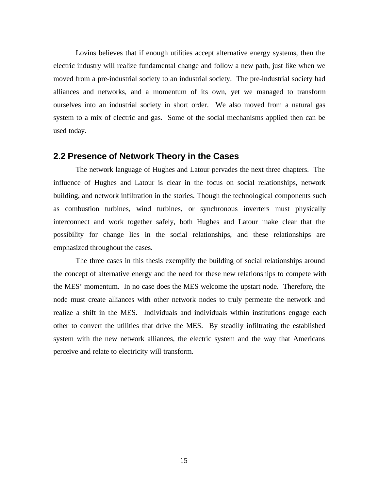Lovins believes that if enough utilities accept alternative energy systems, then the electric industry will realize fundamental change and follow a new path, just like when we moved from a pre-industrial society to an industrial society. The pre-industrial society had alliances and networks, and a momentum of its own, yet we managed to transform ourselves into an industrial society in short order. We also moved from a natural gas system to a mix of electric and gas. Some of the social mechanisms applied then can be used today.

#### **2.2 Presence of Network Theory in the Cases**

The network language of Hughes and Latour pervades the next three chapters. The influence of Hughes and Latour is clear in the focus on social relationships, network building, and network infiltration in the stories. Though the technological components such as combustion turbines, wind turbines, or synchronous inverters must physically interconnect and work together safely, both Hughes and Latour make clear that the possibility for change lies in the social relationships, and these relationships are emphasized throughout the cases.

The three cases in this thesis exemplify the building of social relationships around the concept of alternative energy and the need for these new relationships to compete with the MES' momentum. In no case does the MES welcome the upstart node. Therefore, the node must create alliances with other network nodes to truly permeate the network and realize a shift in the MES. Individuals and individuals within institutions engage each other to convert the utilities that drive the MES. By steadily infiltrating the established system with the new network alliances, the electric system and the way that Americans perceive and relate to electricity will transform.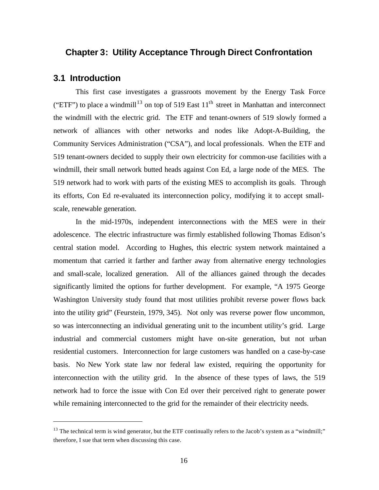## **Chapter 3: Utility Acceptance Through Direct Confrontation**

#### **3.1 Introduction**

 $\overline{a}$ 

This first case investigates a grassroots movement by the Energy Task Force ("ETF") to place a windmill<sup>13</sup> on top of 519 East  $11<sup>th</sup>$  street in Manhattan and interconnect the windmill with the electric grid. The ETF and tenant-owners of 519 slowly formed a network of alliances with other networks and nodes like Adopt-A-Building, the Community Services Administration ("CSA"), and local professionals. When the ETF and 519 tenant-owners decided to supply their own electricity for common-use facilities with a windmill, their small network butted heads against Con Ed, a large node of the MES. The 519 network had to work with parts of the existing MES to accomplish its goals. Through its efforts, Con Ed re-evaluated its interconnection policy, modifying it to accept smallscale, renewable generation.

In the mid-1970s, independent interconnections with the MES were in their adolescence. The electric infrastructure was firmly established following Thomas Edison's central station model. According to Hughes, this electric system network maintained a momentum that carried it farther and farther away from alternative energy technologies and small-scale, localized generation. All of the alliances gained through the decades significantly limited the options for further development. For example, "A 1975 George Washington University study found that most utilities prohibit reverse power flows back into the utility grid" (Feurstein, 1979, 345). Not only was reverse power flow uncommon, so was interconnecting an individual generating unit to the incumbent utility's grid. Large industrial and commercial customers might have on-site generation, but not urban residential customers. Interconnection for large customers was handled on a case-by-case basis. No New York state law nor federal law existed, requiring the opportunity for interconnection with the utility grid. In the absence of these types of laws, the 519 network had to force the issue with Con Ed over their perceived right to generate power while remaining interconnected to the grid for the remainder of their electricity needs.

<sup>&</sup>lt;sup>13</sup> The technical term is wind generator, but the ETF continually refers to the Jacob's system as a "windmill;" therefore, I sue that term when discussing this case.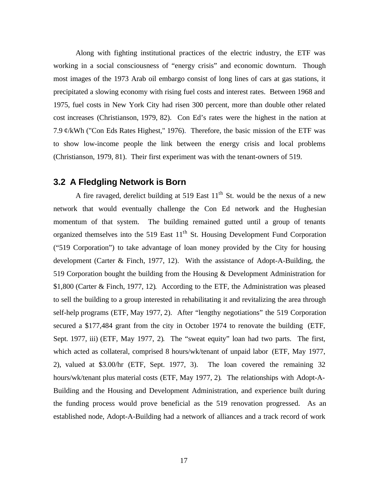Along with fighting institutional practices of the electric industry, the ETF was working in a social consciousness of "energy crisis" and economic downturn. Though most images of the 1973 Arab oil embargo consist of long lines of cars at gas stations, it precipitated a slowing economy with rising fuel costs and interest rates. Between 1968 and 1975, fuel costs in New York City had risen 300 percent, more than double other related cost increases (Christianson, 1979, 82). Con Ed's rates were the highest in the nation at 7.9 ¢/kWh ("Con Eds Rates Highest," 1976). Therefore, the basic mission of the ETF was to show low-income people the link between the energy crisis and local problems (Christianson, 1979, 81). Their first experiment was with the tenant-owners of 519.

## **3.2 A Fledgling Network is Born**

A fire ravaged, derelict building at 519 East  $11<sup>th</sup>$  St. would be the nexus of a new network that would eventually challenge the Con Ed network and the Hughesian momentum of that system. The building remained gutted until a group of tenants organized themselves into the 519 East  $11<sup>th</sup>$  St. Housing Development Fund Corporation ("519 Corporation") to take advantage of loan money provided by the City for housing development (Carter & Finch, 1977, 12). With the assistance of Adopt-A-Building, the 519 Corporation bought the building from the Housing & Development Administration for \$1,800 (Carter & Finch, 1977, 12). According to the ETF, the Administration was pleased to sell the building to a group interested in rehabilitating it and revitalizing the area through self-help programs (ETF, May 1977, 2). After "lengthy negotiations" the 519 Corporation secured a \$177,484 grant from the city in October 1974 to renovate the building (ETF, Sept. 1977, iii) (ETF, May 1977, 2). The "sweat equity" loan had two parts. The first, which acted as collateral, comprised 8 hours/wk/tenant of unpaid labor (ETF, May 1977, 2), valued at \$3.00/hr (ETF, Sept. 1977, 3). The loan covered the remaining 32 hours/wk/tenant plus material costs (ETF, May 1977, 2). The relationships with Adopt-A-Building and the Housing and Development Administration, and experience built during the funding process would prove beneficial as the 519 renovation progressed. As an established node, Adopt-A-Building had a network of alliances and a track record of work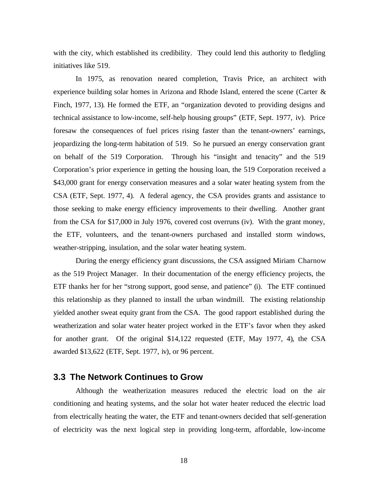with the city, which established its credibility. They could lend this authority to fledgling initiatives like 519.

In 1975, as renovation neared completion, Travis Price, an architect with experience building solar homes in Arizona and Rhode Island, entered the scene (Carter & Finch, 1977, 13). He formed the ETF, an "organization devoted to providing designs and technical assistance to low-income, self-help housing groups" (ETF, Sept. 1977, iv). Price foresaw the consequences of fuel prices rising faster than the tenant-owners' earnings, jeopardizing the long-term habitation of 519. So he pursued an energy conservation grant on behalf of the 519 Corporation. Through his "insight and tenacity" and the 519 Corporation's prior experience in getting the housing loan, the 519 Corporation received a \$43,000 grant for energy conservation measures and a solar water heating system from the CSA (ETF, Sept. 1977, 4). A federal agency, the CSA provides grants and assistance to those seeking to make energy efficiency improvements to their dwelling. Another grant from the CSA for \$17,000 in July 1976, covered cost overruns (iv). With the grant money, the ETF, volunteers, and the tenant-owners purchased and installed storm windows, weather-stripping, insulation, and the solar water heating system.

During the energy efficiency grant discussions, the CSA assigned Miriam Charnow as the 519 Project Manager. In their documentation of the energy efficiency projects, the ETF thanks her for her "strong support, good sense, and patience" (i). The ETF continued this relationship as they planned to install the urban windmill. The existing relationship yielded another sweat equity grant from the CSA. The good rapport established during the weatherization and solar water heater project worked in the ETF's favor when they asked for another grant. Of the original \$14,122 requested (ETF, May 1977, 4), the CSA awarded \$13,622 (ETF, Sept. 1977, iv), or 96 percent.

## **3.3 The Network Continues to Grow**

Although the weatherization measures reduced the electric load on the air conditioning and heating systems, and the solar hot water heater reduced the electric load from electrically heating the water, the ETF and tenant-owners decided that self-generation of electricity was the next logical step in providing long-term, affordable, low-income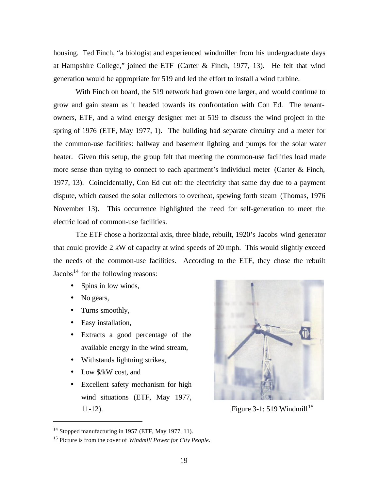housing. Ted Finch, "a biologist and experienced windmiller from his undergraduate days at Hampshire College," joined the ETF (Carter & Finch, 1977, 13). He felt that wind generation would be appropriate for 519 and led the effort to install a wind turbine.

With Finch on board, the 519 network had grown one larger, and would continue to grow and gain steam as it headed towards its confrontation with Con Ed. The tenantowners, ETF, and a wind energy designer met at 519 to discuss the wind project in the spring of 1976 (ETF, May 1977, 1). The building had separate circuitry and a meter for the common-use facilities: hallway and basement lighting and pumps for the solar water heater. Given this setup, the group felt that meeting the common-use facilities load made more sense than trying to connect to each apartment's individual meter (Carter & Finch, 1977, 13). Coincidentally, Con Ed cut off the electricity that same day due to a payment dispute, which caused the solar collectors to overheat, spewing forth steam (Thomas, 1976 November 13). This occurrence highlighted the need for self-generation to meet the electric load of common-use facilities.

The ETF chose a horizontal axis, three blade, rebuilt, 1920's Jacobs wind generator that could provide 2 kW of capacity at wind speeds of 20 mph. This would slightly exceed the needs of the common-use facilities. According to the ETF, they chose the rebuilt Jacobs<sup>14</sup> for the following reasons:

- Spins in low winds,
- No gears,

- Turns smoothly,
- Easy installation,
- Extracts a good percentage of the available energy in the wind stream,
- Withstands lightning strikes,
- Low  $\frac{1}{2}$  Low  $\frac{1}{2}$  Low  $\frac{1}{2}$  Low cost, and
- Excellent safety mechanism for high wind situations (ETF, May 1977, 11-12). Figure 3-1: 519 Windmill<sup>15</sup>



 $14$  Stopped manufacturing in 1957 (ETF, May 1977, 11).

<sup>15</sup> Picture is from the cover of *Windmill Power for City People*.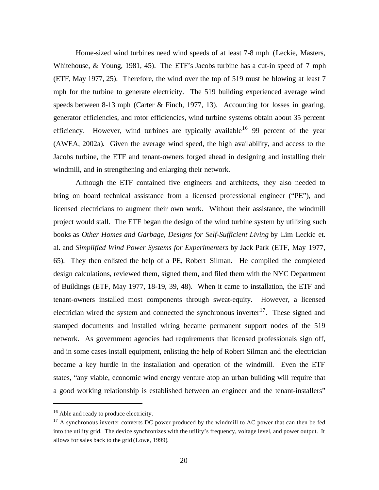Home-sized wind turbines need wind speeds of at least 7-8 mph (Leckie, Masters, Whitehouse, & Young, 1981, 45). The ETF's Jacobs turbine has a cut-in speed of 7 mph (ETF, May 1977, 25). Therefore, the wind over the top of 519 must be blowing at least 7 mph for the turbine to generate electricity. The 519 building experienced average wind speeds between 8-13 mph (Carter & Finch, 1977, 13). Accounting for losses in gearing, generator efficiencies, and rotor efficiencies, wind turbine systems obtain about 35 percent efficiency. However, wind turbines are typically available<sup>16</sup> 99 percent of the year (AWEA, 2002a). Given the average wind speed, the high availability, and access to the Jacobs turbine, the ETF and tenant-owners forged ahead in designing and installing their windmill, and in strengthening and enlarging their network.

Although the ETF contained five engineers and architects, they also needed to bring on board technical assistance from a licensed professional engineer ("PE"), and licensed electricians to augment their own work. Without their assistance, the windmill project would stall. The ETF began the design of the wind turbine system by utilizing such books as *Other Homes and Garbage, Designs for Self-Sufficient Living* by Lim Leckie et. al. and *Simplified Wind Power Systems for Experimenters* by Jack Park (ETF, May 1977, 65). They then enlisted the help of a PE, Robert Silman. He compiled the completed design calculations, reviewed them, signed them, and filed them with the NYC Department of Buildings (ETF, May 1977, 18-19, 39, 48). When it came to installation, the ETF and tenant-owners installed most components through sweat-equity. However, a licensed electrician wired the system and connected the synchronous inverter<sup>17</sup>. These signed and stamped documents and installed wiring became permanent support nodes of the 519 network. As government agencies had requirements that licensed professionals sign off, and in some cases install equipment, enlisting the help of Robert Silman and the electrician became a key hurdle in the installation and operation of the windmill. Even the ETF states, "any viable, economic wind energy venture atop an urban building will require that a good working relationship is established between an engineer and the tenant-installers"

<sup>&</sup>lt;sup>16</sup> Able and ready to produce electricity.

<sup>&</sup>lt;sup>17</sup> A synchronous inverter converts DC power produced by the windmill to AC power that can then be fed into the utility grid. The device synchronizes with the utility's frequency, voltage level, and power output. It allows for sales back to the grid (Lowe, 1999).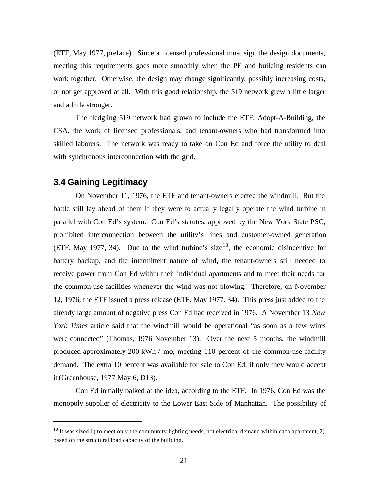(ETF, May 1977, preface). Since a licensed professional must sign the design documents, meeting this requirements goes more smoothly when the PE and building residents can work together. Otherwise, the design may change significantly, possibly increasing costs, or not get approved at all. With this good relationship, the 519 network grew a little larger and a little stronger.

The fledgling 519 network had grown to include the ETF, Adopt-A-Building, the CSA, the work of licensed professionals, and tenant-owners who had transformed into skilled laborers. The network was ready to take on Con Ed and force the utility to deal with synchronous interconnection with the grid.

## **3.4 Gaining Legitimacy**

 $\overline{a}$ 

On November 11, 1976, the ETF and tenant-owners erected the windmill. But the battle still lay ahead of them if they were to actually legally operate the wind turbine in parallel with Con Ed's system. Con Ed's statutes, approved by the New York State PSC, prohibited interconnection between the utility's lines and customer-owned generation (ETF, May 1977, 34). Due to the wind turbine's size<sup>18</sup>, the economic disincentive for battery backup, and the intermittent nature of wind, the tenant-owners still needed to receive power from Con Ed within their individual apartments and to meet their needs for the common-use facilities whenever the wind was not blowing. Therefore, on November 12, 1976, the ETF issued a press release (ETF, May 1977, 34). This press just added to the already large amount of negative press Con Ed had received in 1976. A November 13 *New York Times* article said that the windmill would be operational "as soon as a few wires were connected" (Thomas, 1976 November 13). Over the next 5 months, the windmill produced approximately 200 kWh / mo, meeting 110 percent of the common-use facility demand. The extra 10 percent was available for sale to Con Ed, if only they would accept it (Greenhouse, 1977 May 6, D13).

Con Ed initially balked at the idea, according to the ETF. In 1976, Con Ed was the monopoly supplier of electricity to the Lower East Side of Manhattan. The possibility of

 $18$  It was sized 1) to meet only the community lighting needs, not electrical demand within each apartment, 2) based on the structural load capacity of the building.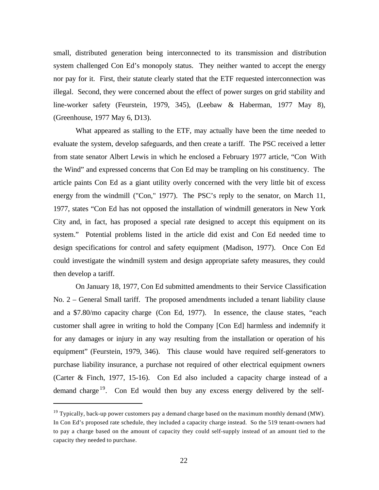small, distributed generation being interconnected to its transmission and distribution system challenged Con Ed's monopoly status. They neither wanted to accept the energy nor pay for it. First, their statute clearly stated that the ETF requested interconnection was illegal. Second, they were concerned about the effect of power surges on grid stability and line-worker safety (Feurstein, 1979, 345), (Leebaw & Haberman, 1977 May 8), (Greenhouse, 1977 May 6, D13).

What appeared as stalling to the ETF, may actually have been the time needed to evaluate the system, develop safeguards, and then create a tariff. The PSC received a letter from state senator Albert Lewis in which he enclosed a February 1977 article, "Con With the Wind" and expressed concerns that Con Ed may be trampling on his constituency. The article paints Con Ed as a giant utility overly concerned with the very little bit of excess energy from the windmill ("Con," 1977). The PSC's reply to the senator, on March 11, 1977, states "Con Ed has not opposed the installation of windmill generators in New York City and, in fact, has proposed a special rate designed to accept this equipment on its system." Potential problems listed in the article did exist and Con Ed needed time to design specifications for control and safety equipment (Madison, 1977). Once Con Ed could investigate the windmill system and design appropriate safety measures, they could then develop a tariff.

On January 18, 1977, Con Ed submitted amendments to their Service Classification No. 2 – General Small tariff. The proposed amendments included a tenant liability clause and a \$7.80/mo capacity charge (Con Ed, 1977). In essence, the clause states, "each customer shall agree in writing to hold the Company [Con Ed] harmless and indemnify it for any damages or injury in any way resulting from the installation or operation of his equipment" (Feurstein, 1979, 346). This clause would have required self-generators to purchase liability insurance, a purchase not required of other electrical equipment owners (Carter & Finch, 1977, 15-16). Con Ed also included a capacity charge instead of a demand charge  $19$ . Con Ed would then buy any excess energy delivered by the self-

 $19$  Typically, back-up power customers pay a demand charge based on the maximum monthly demand (MW). In Con Ed's proposed rate schedule, they included a capacity charge instead. So the 519 tenant-owners had to pay a charge based on the amount of capacity they could self-supply instead of an amount tied to the capacity they needed to purchase.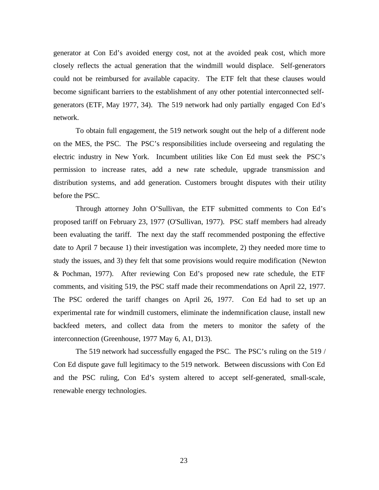generator at Con Ed's avoided energy cost, not at the avoided peak cost, which more closely reflects the actual generation that the windmill would displace. Self-generators could not be reimbursed for available capacity. The ETF felt that these clauses would become significant barriers to the establishment of any other potential interconnected selfgenerators (ETF, May 1977, 34). The 519 network had only partially engaged Con Ed's network.

To obtain full engagement, the 519 network sought out the help of a different node on the MES, the PSC. The PSC's responsibilities include overseeing and regulating the electric industry in New York. Incumbent utilities like Con Ed must seek the PSC's permission to increase rates, add a new rate schedule, upgrade transmission and distribution systems, and add generation. Customers brought disputes with their utility before the PSC.

Through attorney John O'Sullivan, the ETF submitted comments to Con Ed's proposed tariff on February 23, 1977 (O'Sullivan, 1977). PSC staff members had already been evaluating the tariff. The next day the staff recommended postponing the effective date to April 7 because 1) their investigation was incomplete, 2) they needed more time to study the issues, and 3) they felt that some provisions would require modification (Newton & Pochman, 1977). After reviewing Con Ed's proposed new rate schedule, the ETF comments, and visiting 519, the PSC staff made their recommendations on April 22, 1977. The PSC ordered the tariff changes on April 26, 1977. Con Ed had to set up an experimental rate for windmill customers, eliminate the indemnification clause, install new backfeed meters, and collect data from the meters to monitor the safety of the interconnection (Greenhouse, 1977 May 6, A1, D13).

The 519 network had successfully engaged the PSC. The PSC's ruling on the 519 / Con Ed dispute gave full legitimacy to the 519 network. Between discussions with Con Ed and the PSC ruling, Con Ed's system altered to accept self-generated, small-scale, renewable energy technologies.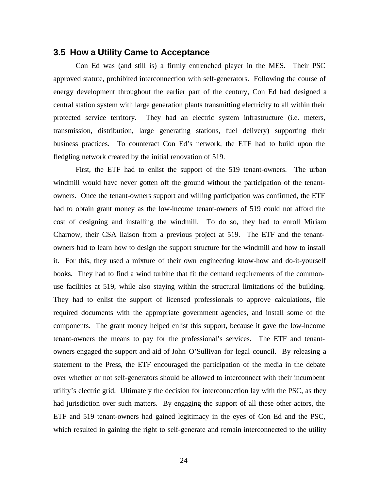#### **3.5 How a Utility Came to Acceptance**

Con Ed was (and still is) a firmly entrenched player in the MES. Their PSC approved statute, prohibited interconnection with self-generators. Following the course of energy development throughout the earlier part of the century, Con Ed had designed a central station system with large generation plants transmitting electricity to all within their protected service territory. They had an electric system infrastructure (i.e. meters, transmission, distribution, large generating stations, fuel delivery) supporting their business practices. To counteract Con Ed's network, the ETF had to build upon the fledgling network created by the initial renovation of 519.

First, the ETF had to enlist the support of the 519 tenant-owners. The urban windmill would have never gotten off the ground without the participation of the tenantowners. Once the tenant-owners support and willing participation was confirmed, the ETF had to obtain grant money as the low-income tenant-owners of 519 could not afford the cost of designing and installing the windmill. To do so, they had to enroll Miriam Charnow, their CSA liaison from a previous project at 519. The ETF and the tenantowners had to learn how to design the support structure for the windmill and how to install it. For this, they used a mixture of their own engineering know-how and do-it-yourself books. They had to find a wind turbine that fit the demand requirements of the commonuse facilities at 519, while also staying within the structural limitations of the building. They had to enlist the support of licensed professionals to approve calculations, file required documents with the appropriate government agencies, and install some of the components. The grant money helped enlist this support, because it gave the low-income tenant-owners the means to pay for the professional's services. The ETF and tenantowners engaged the support and aid of John O'Sullivan for legal council. By releasing a statement to the Press, the ETF encouraged the participation of the media in the debate over whether or not self-generators should be allowed to interconnect with their incumbent utility's electric grid. Ultimately the decision for interconnection lay with the PSC, as they had jurisdiction over such matters. By engaging the support of all these other actors, the ETF and 519 tenant-owners had gained legitimacy in the eyes of Con Ed and the PSC, which resulted in gaining the right to self-generate and remain interconnected to the utility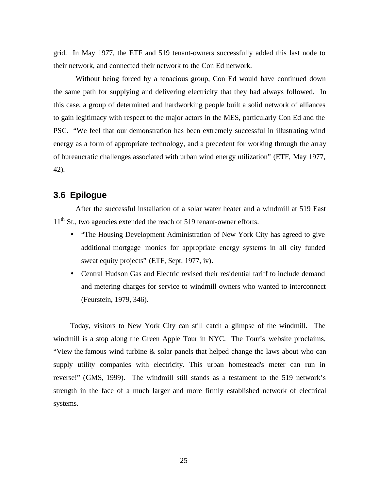grid. In May 1977, the ETF and 519 tenant-owners successfully added this last node to their network, and connected their network to the Con Ed network.

Without being forced by a tenacious group, Con Ed would have continued down the same path for supplying and delivering electricity that they had always followed. In this case, a group of determined and hardworking people built a solid network of alliances to gain legitimacy with respect to the major actors in the MES, particularly Con Ed and the PSC. "We feel that our demonstration has been extremely successful in illustrating wind energy as a form of appropriate technology, and a precedent for working through the array of bureaucratic challenges associated with urban wind energy utilization" (ETF, May 1977, 42).

## **3.6 Epilogue**

After the successful installation of a solar water heater and a windmill at 519 East  $11<sup>th</sup>$  St., two agencies extended the reach of 519 tenant-owner efforts.

- "The Housing Development Administration of New York City has agreed to give additional mortgage monies for appropriate energy systems in all city funded sweat equity projects" (ETF, Sept. 1977, iv).
- Central Hudson Gas and Electric revised their residential tariff to include demand and metering charges for service to windmill owners who wanted to interconnect (Feurstein, 1979, 346).

Today, visitors to New York City can still catch a glimpse of the windmill. The windmill is a stop along the Green Apple Tour in NYC. The Tour's website proclaims, "View the famous wind turbine & solar panels that helped change the laws about who can supply utility companies with electricity. This urban homestead's meter can run in reverse!" (GMS, 1999). The windmill still stands as a testament to the 519 network's strength in the face of a much larger and more firmly established network of electrical systems.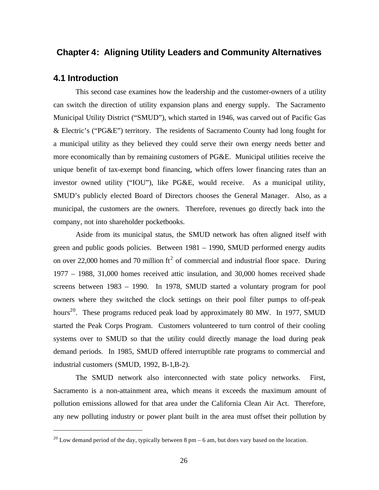## **Chapter 4: Aligning Utility Leaders and Community Alternatives**

#### **4.1 Introduction**

 $\overline{a}$ 

This second case examines how the leadership and the customer-owners of a utility can switch the direction of utility expansion plans and energy supply. The Sacramento Municipal Utility District ("SMUD"), which started in 1946, was carved out of Pacific Gas & Electric's ("PG&E") territory. The residents of Sacramento County had long fought for a municipal utility as they believed they could serve their own energy needs better and more economically than by remaining customers of PG&E. Municipal utilities receive the unique benefit of tax-exempt bond financing, which offers lower financing rates than an investor owned utility ("IOU"), like PG&E, would receive. As a municipal utility, SMUD's publicly elected Board of Directors chooses the General Manager. Also, as a municipal, the customers are the owners. Therefore, revenues go directly back into the company, not into shareholder pocketbooks.

Aside from its municipal status, the SMUD network has often aligned itself with green and public goods policies. Between 1981 – 1990, SMUD performed energy audits on over 22,000 homes and 70 million  $\text{ft}^2$  of commercial and industrial floor space. During 1977 – 1988, 31,000 homes received attic insulation, and 30,000 homes received shade screens between 1983 – 1990. In 1978, SMUD started a voluntary program for pool owners where they switched the clock settings on their pool filter pumps to off-peak hours<sup>20</sup>. These programs reduced peak load by approximately 80 MW. In 1977, SMUD started the Peak Corps Program. Customers volunteered to turn control of their cooling systems over to SMUD so that the utility could directly manage the load during peak demand periods. In 1985, SMUD offered interruptible rate programs to commercial and industrial customers (SMUD, 1992, B-1,B-2).

The SMUD network also interconnected with state policy networks. First, Sacramento is a non-attainment area, which means it exceeds the maximum amount of pollution emissions allowed for that area under the California Clean Air Act. Therefore, any new polluting industry or power plant built in the area must offset their pollution by

<sup>&</sup>lt;sup>20</sup> Low demand period of the day, typically between 8 pm – 6 am, but does vary based on the location.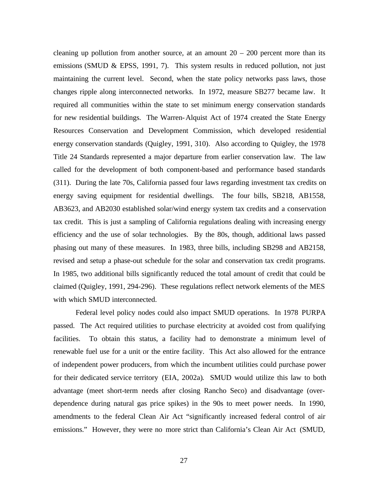cleaning up pollution from another source, at an amount  $20 - 200$  percent more than its emissions (SMUD & EPSS, 1991, 7). This system results in reduced pollution, not just maintaining the current level. Second, when the state policy networks pass laws, those changes ripple along interconnected networks. In 1972, measure SB277 became law. It required all communities within the state to set minimum energy conservation standards for new residential buildings. The Warren-Alquist Act of 1974 created the State Energy Resources Conservation and Development Commission, which developed residential energy conservation standards (Quigley, 1991, 310). Also according to Quigley, the 1978 Title 24 Standards represented a major departure from earlier conservation law. The law called for the development of both component-based and performance based standards (311). During the late 70s, California passed four laws regarding investment tax credits on energy saving equipment for residential dwellings. The four bills, SB218, AB1558, AB3623, and AB2030 established solar/wind energy system tax credits and a conservation tax credit. This is just a sampling of California regulations dealing with increasing energy efficiency and the use of solar technologies. By the 80s, though, additional laws passed phasing out many of these measures. In 1983, three bills, including SB298 and AB2158, revised and setup a phase-out schedule for the solar and conservation tax credit programs. In 1985, two additional bills significantly reduced the total amount of credit that could be claimed (Quigley, 1991, 294-296). These regulations reflect network elements of the MES with which SMUD interconnected.

Federal level policy nodes could also impact SMUD operations. In 1978 PURPA passed. The Act required utilities to purchase electricity at avoided cost from qualifying facilities. To obtain this status, a facility had to demonstrate a minimum level of renewable fuel use for a unit or the entire facility. This Act also allowed for the entrance of independent power producers, from which the incumbent utilities could purchase power for their dedicated service territory (EIA, 2002a). SMUD would utilize this law to both advantage (meet short-term needs after closing Rancho Seco) and disadvantage (overdependence during natural gas price spikes) in the 90s to meet power needs. In 1990, amendments to the federal Clean Air Act "significantly increased federal control of air emissions." However, they were no more strict than California's Clean Air Act (SMUD,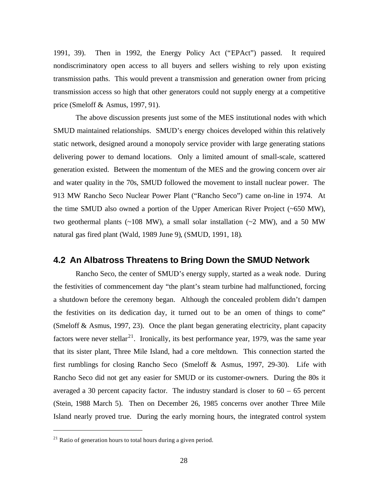1991, 39). Then in 1992, the Energy Policy Act ("EPAct") passed. It required nondiscriminatory open access to all buyers and sellers wishing to rely upon existing transmission paths. This would prevent a transmission and generation owner from pricing transmission access so high that other generators could not supply energy at a competitive price (Smeloff & Asmus, 1997, 91).

The above discussion presents just some of the MES institutional nodes with which SMUD maintained relationships. SMUD's energy choices developed within this relatively static network, designed around a monopoly service provider with large generating stations delivering power to demand locations. Only a limited amount of small-scale, scattered generation existed. Between the momentum of the MES and the growing concern over air and water quality in the 70s, SMUD followed the movement to install nuclear power. The 913 MW Rancho Seco Nuclear Power Plant ("Rancho Seco") came on-line in 1974. At the time SMUD also owned a portion of the Upper American River Project (~650 MW), two geothermal plants  $(-108 \text{ MW})$ , a small solar installation  $(-2 \text{ MW})$ , and a 50 MW natural gas fired plant (Wald, 1989 June 9), (SMUD, 1991, 18).

#### **4.2 An Albatross Threatens to Bring Down the SMUD Network**

Rancho Seco, the center of SMUD's energy supply, started as a weak node. During the festivities of commencement day "the plant's steam turbine had malfunctioned, forcing a shutdown before the ceremony began. Although the concealed problem didn't dampen the festivities on its dedication day, it turned out to be an omen of things to come" (Smeloff & Asmus, 1997, 23). Once the plant began generating electricity, plant capacity factors were never stellar<sup>21</sup>. Ironically, its best performance year, 1979, was the same year that its sister plant, Three Mile Island, had a core meltdown. This connection started the first rumblings for closing Rancho Seco (Smeloff & Asmus, 1997, 29-30). Life with Rancho Seco did not get any easier for SMUD or its customer-owners. During the 80s it averaged a 30 percent capacity factor. The industry standard is closer to  $60 - 65$  percent (Stein, 1988 March 5). Then on December 26, 1985 concerns over another Three Mile Island nearly proved true. During the early morning hours, the integrated control system

 $^{21}$  Ratio of generation hours to total hours during a given period.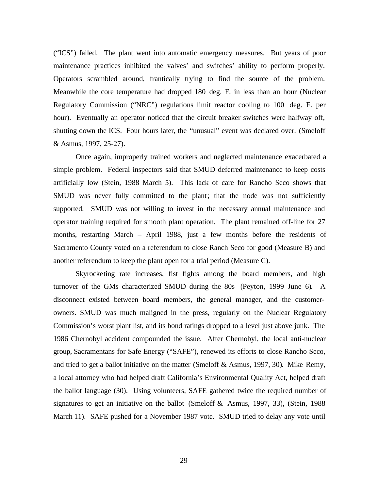("ICS") failed. The plant went into automatic emergency measures. But years of poor maintenance practices inhibited the valves' and switches' ability to perform properly. Operators scrambled around, frantically trying to find the source of the problem. Meanwhile the core temperature had dropped 180 deg. F. in less than an hour (Nuclear Regulatory Commission ("NRC") regulations limit reactor cooling to 100 deg. F. per hour). Eventually an operator noticed that the circuit breaker switches were halfway off, shutting down the ICS. Four hours later, the "unusual" event was declared over. (Smeloff & Asmus, 1997, 25-27).

Once again, improperly trained workers and neglected maintenance exacerbated a simple problem. Federal inspectors said that SMUD deferred maintenance to keep costs artificially low (Stein, 1988 March 5). This lack of care for Rancho Seco shows that SMUD was never fully committed to the plant; that the node was not sufficiently supported. SMUD was not willing to invest in the necessary annual maintenance and operator training required for smooth plant operation. The plant remained off-line for 27 months, restarting March – April 1988, just a few months before the residents of Sacramento County voted on a referendum to close Ranch Seco for good (Measure B) and another referendum to keep the plant open for a trial period (Measure C).

Skyrocketing rate increases, fist fights among the board members, and high turnover of the GMs characterized SMUD during the 80s (Peyton, 1999 June 6). A disconnect existed between board members, the general manager, and the customerowners. SMUD was much maligned in the press, regularly on the Nuclear Regulatory Commission's worst plant list, and its bond ratings dropped to a level just above junk. The 1986 Chernobyl accident compounded the issue. After Chernobyl, the local anti-nuclear group, Sacramentans for Safe Energy ("SAFE"), renewed its efforts to close Rancho Seco, and tried to get a ballot initiative on the matter (Smeloff & Asmus, 1997, 30). Mike Remy, a local attorney who had helped draft California's Environmental Quality Act, helped draft the ballot language (30). Using volunteers, SAFE gathered twice the required number of signatures to get an initiative on the ballot (Smeloff & Asmus, 1997, 33), (Stein, 1988 March 11). SAFE pushed for a November 1987 vote. SMUD tried to delay any vote until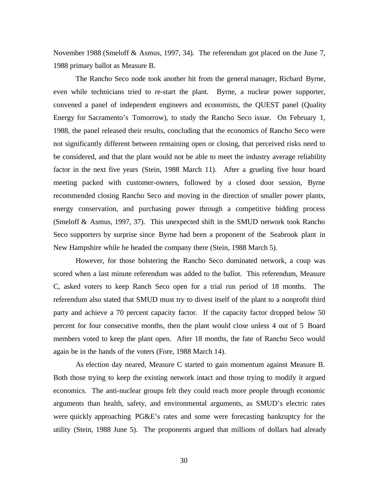November 1988 (Smeloff & Asmus, 1997, 34). The referendum got placed on the June 7, 1988 primary ballot as Measure B.

The Rancho Seco node took another hit from the general manager, Richard Byrne, even while technicians tried to re-start the plant. Byrne, a nuclear power supporter, convened a panel of independent engineers and economists, the QUEST panel (Quality Energy for Sacramento's Tomorrow), to study the Rancho Seco issue. On February 1, 1988, the panel released their results, concluding that the economics of Rancho Seco were not significantly different between remaining open or closing, that perceived risks need to be considered, and that the plant would not be able to meet the industry average reliability factor in the next five years (Stein, 1988 March 11). After a grueling five hour board meeting packed with customer-owners, followed by a closed door session, Byrne recommended closing Rancho Seco and moving in the direction of smaller power plants, energy conservation, and purchasing power through a competitive bidding process (Smeloff & Asmus, 1997, 37). This unexpected shift in the SMUD network took Rancho Seco supporters by surprise since Byrne had been a proponent of the Seabrook plant in New Hampshire while he headed the company there (Stein, 1988 March 5).

However, for those bolstering the Rancho Seco dominated network, a coup was scored when a last minute referendum was added to the ballot. This referendum, Measure C, asked voters to keep Ranch Seco open for a trial run period of 18 months. The referendum also stated that SMUD must try to divest itself of the plant to a nonprofit third party and achieve a 70 percent capacity factor. If the capacity factor dropped below 50 percent for four consecutive months, then the plant would close unless 4 out of 5 Board members voted to keep the plant open. After 18 months, the fate of Rancho Seco would again be in the hands of the voters (Fore, 1988 March 14).

As election day neared, Measure C started to gain momentum against Measure B. Both those trying to keep the existing network intact and those trying to modify it argued economics. The anti-nuclear groups felt they could reach more people through economic arguments than health, safety, and environmental arguments, as SMUD's electric rates were quickly approaching PG&E's rates and some were forecasting bankruptcy for the utility (Stein, 1988 June 5). The proponents argued that millions of dollars had already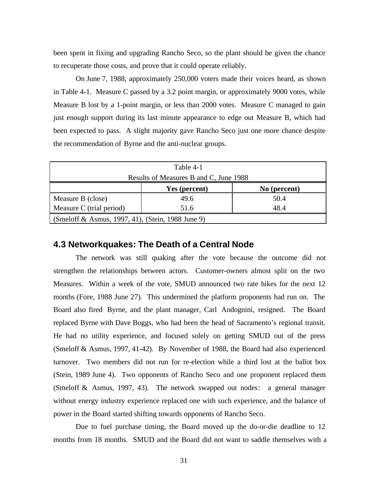been spent in fixing and upgrading Rancho Seco, so the plant should be given the chance to recuperate those costs, and prove that it could operate reliably.

On June 7, 1988, approximately 250,000 voters made their voices heard, as shown in Table 4-1. Measure C passed by a 3.2 point margin, or approximately 9000 votes, while Measure B lost by a 1-point margin, or less than 2000 votes. Measure C managed to gain just enough support during its last minute appearance to edge out Measure B, which had been expected to pass. A slight majority gave Rancho Seco just one more chance despite the recommendation of Byrne and the anti-nuclear groups.

| Table 4-1                                         |               |              |  |
|---------------------------------------------------|---------------|--------------|--|
| Results of Measures B and C, June 1988            |               |              |  |
|                                                   | Yes (percent) | No (percent) |  |
| Measure B (close)                                 | 49.6          | 50.4         |  |
| Measure C (trial period)                          | 51.6          | 48.4         |  |
| (Smeloff & Asmus, 1997, 41), (Stein, 1988 June 9) |               |              |  |

### **4.3 Networkquakes: The Death of a Central Node**

The network was still quaking after the vote because the outcome did not strengthen the relationships between actors. Customer-owners almost split on the two Measures. Within a week of the vote, SMUD announced two rate hikes for the next 12 months (Fore, 1988 June 27). This undermined the platform proponents had run on. The Board also fired Byrne, and the plant manager, Carl Andognini, resigned. The Board replaced Byrne with Dave Boggs, who had been the head of Sacramento's regional transit. He had no utility experience, and focused solely on getting SMUD out of the press (Smeloff & Asmus, 1997, 41-42). By November of 1988, the Board had also experienced turnover. Two members did not run for re-election while a third lost at the ballot box (Stein, 1989 June 4). Two opponents of Rancho Seco and one proponent replaced them (Smeloff & Asmus, 1997, 43). The network swapped out nodes: a general manager without energy industry experience replaced one with such experience, and the balance of power in the Board started shifting towards opponents of Rancho Seco.

Due to fuel purchase timing, the Board moved up the do-or-die deadline to 12 months from 18 months. SMUD and the Board did not want to saddle themselves with a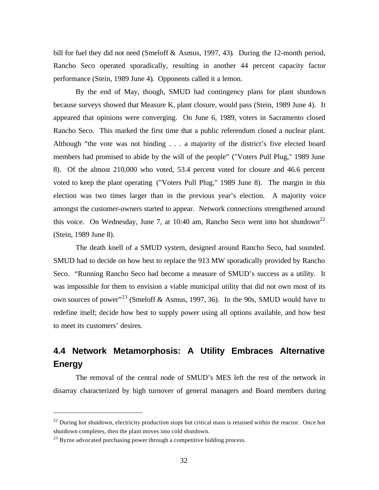bill for fuel they did not need (Smeloff & Asmus, 1997, 43). During the 12-month period, Rancho Seco operated sporadically, resulting in another 44 percent capacity factor performance (Stein, 1989 June 4). Opponents called it a lemon.

By the end of May, though, SMUD had contingency plans for plant shutdown because surveys showed that Measure K, plant closure, would pass (Stein, 1989 June 4). It appeared that opinions were converging. On June 6, 1989, voters in Sacramento closed Rancho Seco. This marked the first time that a public referendum closed a nuclear plant. Although "the vote was not binding . . . a majority of the district's five elected board members had promised to abide by the will of the people" ("Voters Pull Plug," 1989 June 8). Of the almost 210,000 who voted, 53.4 percent voted for closure and 46.6 percent voted to keep the plant operating ("Voters Pull Plug," 1989 June 8). The margin in this election was two times larger than in the previous year's election. A majority voice amongst the customer-owners started to appear. Network connections strengthened around this voice. On Wednesday, June 7, at 10:40 am, Rancho Seco went into hot shutdown<sup>22</sup> (Stein, 1989 June 8).

The death knell of a SMUD system, designed around Rancho Seco, had sounded. SMUD had to decide on how best to replace the 913 MW sporadically provided by Rancho Seco. "Running Rancho Seco had become a measure of SMUD's success as a utility. It was impossible for them to envision a viable municipal utility that did not own most of its own sources of power"<sup>23</sup> (Smeloff & Asmus, 1997, 36). In the 90s, SMUD would have to redefine itself; decide how best to supply power using all options available, and how best to meet its customers' desires.

# **4.4 Network Metamorphosis: A Utility Embraces Alternative Energy**

The removal of the central node of SMUD's MES left the rest of the network in disarray characterized by high turnover of general managers and Board members during

 $22$  During hot shutdown, electricity production stops but critical mass is retained within the reactor. Once hot shutdown completes, then the plant moves into cold shutdown.

 $^{23}$  Byrne advocated purchasing power through a competitive bidding process.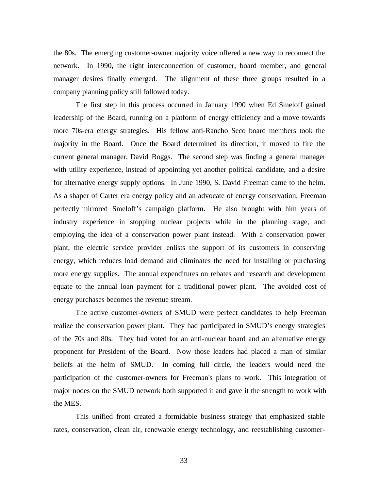the 80s. The emerging customer-owner majority voice offered a new way to reconnect the network. In 1990, the right interconnection of customer, board member, and general manager desires finally emerged. The alignment of these three groups resulted in a company planning policy still followed today.

The first step in this process occurred in January 1990 when Ed Smeloff gained leadership of the Board, running on a platform of energy efficiency and a move towards more 70s-era energy strategies. His fellow anti-Rancho Seco board members took the majority in the Board. Once the Board determined its direction, it moved to fire the current general manager, David Boggs. The second step was finding a general manager with utility experience, instead of appointing yet another political candidate, and a desire for alternative energy supply options. In June 1990, S. David Freeman came to the helm. As a shaper of Carter era energy policy and an advocate of energy conservation, Freeman perfectly mirrored Smeloff's campaign platform. He also brought with him years of industry experience in stopping nuclear projects while in the planning stage, and employing the idea of a conservation power plant instead. With a conservation power plant, the electric service provider enlists the support of its customers in conserving energy, which reduces load demand and eliminates the need for installing or purchasing more energy supplies. The annual expenditures on rebates and research and development equate to the annual loan payment for a traditional power plant. The avoided cost of energy purchases becomes the revenue stream.

The active customer-owners of SMUD were perfect candidates to help Freeman realize the conservation power plant. They had participated in SMUD's energy strategies of the 70s and 80s. They had voted for an anti-nuclear board and an alternative energy proponent for President of the Board. Now those leaders had placed a man of similar beliefs at the helm of SMUD. In coming full circle, the leaders would need the participation of the customer-owners for Freeman's plans to work. This integration of major nodes on the SMUD network both supported it and gave it the strength to work with the MES.

This unified front created a formidable business strategy that emphasized stable rates, conservation, clean air, renewable energy technology, and reestablishing customer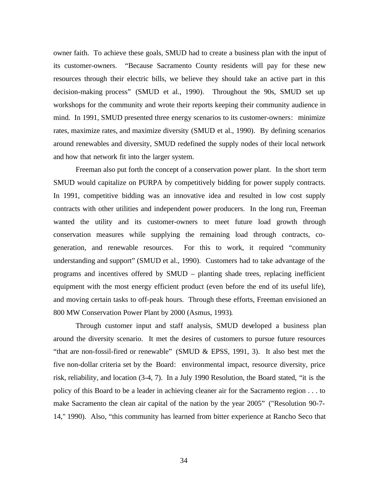owner faith. To achieve these goals, SMUD had to create a business plan with the input of its customer-owners. "Because Sacramento County residents will pay for these new resources through their electric bills, we believe they should take an active part in this decision-making process" (SMUD et al., 1990). Throughout the 90s, SMUD set up workshops for the community and wrote their reports keeping their community audience in mind. In 1991, SMUD presented three energy scenarios to its customer-owners: minimize rates, maximize rates, and maximize diversity (SMUD et al., 1990). By defining scenarios around renewables and diversity, SMUD redefined the supply nodes of their local network and how that network fit into the larger system.

Freeman also put forth the concept of a conservation power plant. In the short term SMUD would capitalize on PURPA by competitively bidding for power supply contracts. In 1991, competitive bidding was an innovative idea and resulted in low cost supply contracts with other utilities and independent power producers. In the long run, Freeman wanted the utility and its customer-owners to meet future load growth through conservation measures while supplying the remaining load through contracts, cogeneration, and renewable resources. For this to work, it required "community understanding and support" (SMUD et al., 1990). Customers had to take advantage of the programs and incentives offered by SMUD – planting shade trees, replacing inefficient equipment with the most energy efficient product (even before the end of its useful life), and moving certain tasks to off-peak hours. Through these efforts, Freeman envisioned an 800 MW Conservation Power Plant by 2000 (Asmus, 1993).

Through customer input and staff analysis, SMUD developed a business plan around the diversity scenario. It met the desires of customers to pursue future resources "that are non-fossil-fired or renewable" (SMUD & EPSS, 1991, 3). It also best met the five non-dollar criteria set by the Board: environmental impact, resource diversity, price risk, reliability, and location (3-4, 7). In a July 1990 Resolution, the Board stated, "it is the policy of this Board to be a leader in achieving cleaner air for the Sacramento region . . . to make Sacramento the clean air capital of the nation by the year 2005" ("Resolution 90-7- 14," 1990). Also, "this community has learned from bitter experience at Rancho Seco that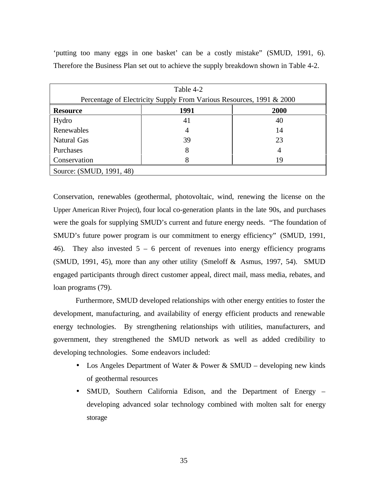| Table 4-2                                                            |      |      |  |
|----------------------------------------------------------------------|------|------|--|
| Percentage of Electricity Supply From Various Resources, 1991 & 2000 |      |      |  |
| <b>Resource</b>                                                      | 1991 | 2000 |  |
| Hydro                                                                | 41   | 40   |  |
| Renewables                                                           | 4    | 14   |  |
| Natural Gas                                                          | 39   | 23   |  |
| Purchases                                                            | 8    | 4    |  |
| Conservation                                                         |      | 19   |  |
| Source: (SMUD, 1991, 48)                                             |      |      |  |

'putting too many eggs in one basket' can be a costly mistake" (SMUD, 1991, 6). Therefore the Business Plan set out to achieve the supply breakdown shown in Table 4-2.

Conservation, renewables (geothermal, photovoltaic, wind, renewing the license on the Upper American River Project), four local co-generation plants in the late 90s, and purchases were the goals for supplying SMUD's current and future energy needs. "The foundation of SMUD's future power program is our commitment to energy efficiency" (SMUD, 1991, 46). They also invested  $5 - 6$  percent of revenues into energy efficiency programs (SMUD, 1991, 45), more than any other utility (Smeloff & Asmus, 1997, 54). SMUD engaged participants through direct customer appeal, direct mail, mass media, rebates, and loan programs (79).

Furthermore, SMUD developed relationships with other energy entities to foster the development, manufacturing, and availability of energy efficient products and renewable energy technologies. By strengthening relationships with utilities, manufacturers, and government, they strengthened the SMUD network as well as added credibility to developing technologies. Some endeavors included:

- Los Angeles Department of Water & Power & SMUD developing new kinds of geothermal resources
- SMUD, Southern California Edison, and the Department of Energy developing advanced solar technology combined with molten salt for energy storage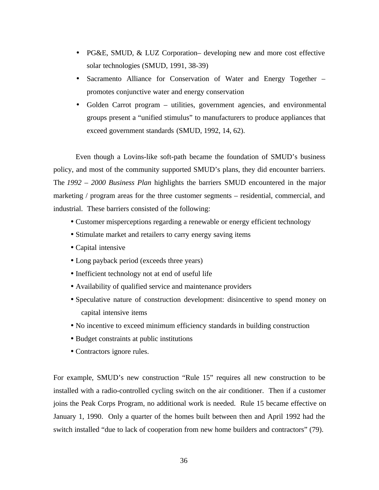- PG&E, SMUD, & LUZ Corporation– developing new and more cost effective solar technologies (SMUD, 1991, 38-39)
- Sacramento Alliance for Conservation of Water and Energy Together promotes conjunctive water and energy conservation
- Golden Carrot program utilities, government agencies, and environmental groups present a "unified stimulus" to manufacturers to produce appliances that exceed government standards (SMUD, 1992, 14, 62).

Even though a Lovins-like soft-path became the foundation of SMUD's business policy, and most of the community supported SMUD's plans, they did encounter barriers. The *1992 – 2000 Business Plan* highlights the barriers SMUD encountered in the major marketing / program areas for the three customer segments – residential, commercial, and industrial. These barriers consisted of the following:

- Customer misperceptions regarding a renewable or energy efficient technology
- Stimulate market and retailers to carry energy saving items
- Capital intensive
- Long payback period (exceeds three years)
- Inefficient technology not at end of useful life
- Availability of qualified service and maintenance providers
- Speculative nature of construction development: disincentive to spend money on capital intensive items
- No incentive to exceed minimum efficiency standards in building construction
- Budget constraints at public institutions
- Contractors ignore rules.

For example, SMUD's new construction "Rule 15" requires all new construction to be installed with a radio-controlled cycling switch on the air conditioner. Then if a customer joins the Peak Corps Program, no additional work is needed. Rule 15 became effective on January 1, 1990. Only a quarter of the homes built between then and April 1992 had the switch installed "due to lack of cooperation from new home builders and contractors" (79).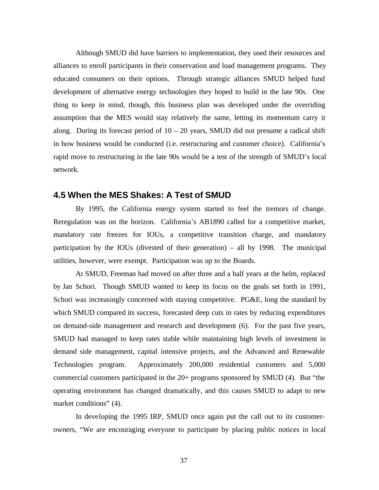Although SMUD did have barriers to implementation, they used their resources and alliances to enroll participants in their conservation and load management programs. They educated consumers on their options. Through strategic alliances SMUD helped fund development of alternative energy technologies they hoped to build in the late 90s. One thing to keep in mind, though, this business plan was developed under the overriding assumption that the MES would stay relatively the same, letting its momentum carry it along. During its forecast period of  $10 - 20$  years, SMUD did not presume a radical shift in how business would be conducted (i.e. restructuring and customer choice). California's rapid move to restructuring in the late 90s would be a test of the strength of SMUD's local network.

### **4.5 When the MES Shakes: A Test of SMUD**

By 1995, the California energy system started to feel the tremors of change. Reregulation was on the horizon. California's AB1890 called for a competitive market, mandatory rate freezes for IOUs, a competitive transition charge, and mandatory participation by the IOUs (divested of their generation) – all by 1998. The municipal utilities, however, were exempt. Participation was up to the Boards.

At SMUD, Freeman had moved on after three and a half years at the helm, replaced by Jan Schori. Though SMUD wanted to keep its focus on the goals set forth in 1991, Schori was increasingly concerned with staying competitive. PG&E, long the standard by which SMUD compared its success, forecasted deep cuts in rates by reducing expenditures on demand-side management and research and development (6). For the past five years, SMUD had managed to keep rates stable while maintaining high levels of investment in demand side management, capital intensive projects, and the Advanced and Renewable Technologies program. Approximately 200,000 residential customers and 5,000 commercial customers participated in the 20+ programs sponsored by SMUD (4). But "the operating environment has changed dramatically, and this causes SMUD to adapt to new market conditions" (4).

In developing the 1995 IRP, SMUD once again put the call out to its customerowners, "We are encouraging everyone to participate by placing public notices in local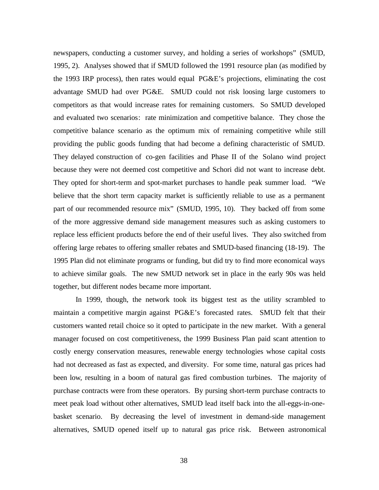newspapers, conducting a customer survey, and holding a series of workshops" (SMUD, 1995, 2). Analyses showed that if SMUD followed the 1991 resource plan (as modified by the 1993 IRP process), then rates would equal PG&E's projections, eliminating the cost advantage SMUD had over PG&E. SMUD could not risk loosing large customers to competitors as that would increase rates for remaining customers. So SMUD developed and evaluated two scenarios: rate minimization and competitive balance. They chose the competitive balance scenario as the optimum mix of remaining competitive while still providing the public goods funding that had become a defining characteristic of SMUD. They delayed construction of co-gen facilities and Phase II of the Solano wind project because they were not deemed cost competitive and Schori did not want to increase debt. They opted for short-term and spot-market purchases to handle peak summer load. "We believe that the short term capacity market is sufficiently reliable to use as a permanent part of our recommended resource mix" (SMUD, 1995, 10). They backed off from some of the more aggressive demand side management measures such as asking customers to replace less efficient products before the end of their useful lives. They also switched from offering large rebates to offering smaller rebates and SMUD-based financing (18-19). The 1995 Plan did not eliminate programs or funding, but did try to find more economical ways to achieve similar goals. The new SMUD network set in place in the early 90s was held together, but different nodes became more important.

In 1999, though, the network took its biggest test as the utility scrambled to maintain a competitive margin against PG&E's forecasted rates. SMUD felt that their customers wanted retail choice so it opted to participate in the new market. With a general manager focused on cost competitiveness, the 1999 Business Plan paid scant attention to costly energy conservation measures, renewable energy technologies whose capital costs had not decreased as fast as expected, and diversity. For some time, natural gas prices had been low, resulting in a boom of natural gas fired combustion turbines. The majority of purchase contracts were from these operators. By pursing short-term purchase contracts to meet peak load without other alternatives, SMUD lead itself back into the all-eggs-in-onebasket scenario. By decreasing the level of investment in demand-side management alternatives, SMUD opened itself up to natural gas price risk. Between astronomical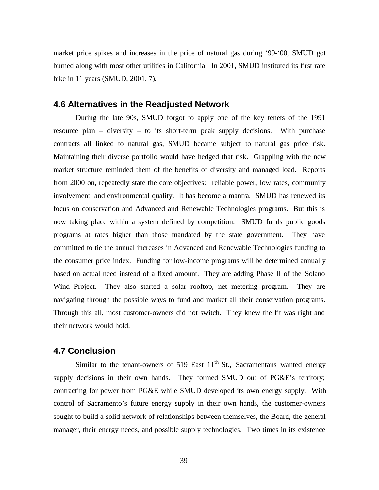market price spikes and increases in the price of natural gas during '99-'00, SMUD got burned along with most other utilities in California. In 2001, SMUD instituted its first rate hike in 11 years (SMUD, 2001, 7).

### **4.6 Alternatives in the Readjusted Network**

During the late 90s, SMUD forgot to apply one of the key tenets of the 1991 resource plan – diversity – to its short-term peak supply decisions. With purchase contracts all linked to natural gas, SMUD became subject to natural gas price risk. Maintaining their diverse portfolio would have hedged that risk. Grappling with the new market structure reminded them of the benefits of diversity and managed load. Reports from 2000 on, repeatedly state the core objectives: reliable power, low rates, community involvement, and environmental quality. It has become a mantra. SMUD has renewed its focus on conservation and Advanced and Renewable Technologies programs. But this is now taking place within a system defined by competition. SMUD funds public goods programs at rates higher than those mandated by the state government. They have committed to tie the annual increases in Advanced and Renewable Technologies funding to the consumer price index. Funding for low-income programs will be determined annually based on actual need instead of a fixed amount. They are adding Phase II of the Solano Wind Project. They also started a solar rooftop, net metering program. They are navigating through the possible ways to fund and market all their conservation programs. Through this all, most customer-owners did not switch. They knew the fit was right and their network would hold.

### **4.7 Conclusion**

Similar to the tenant-owners of 519 East  $11<sup>th</sup>$  St., Sacramentans wanted energy supply decisions in their own hands. They formed SMUD out of PG&E's territory; contracting for power from PG&E while SMUD developed its own energy supply. With control of Sacramento's future energy supply in their own hands, the customer-owners sought to build a solid network of relationships between themselves, the Board, the general manager, their energy needs, and possible supply technologies. Two times in its existence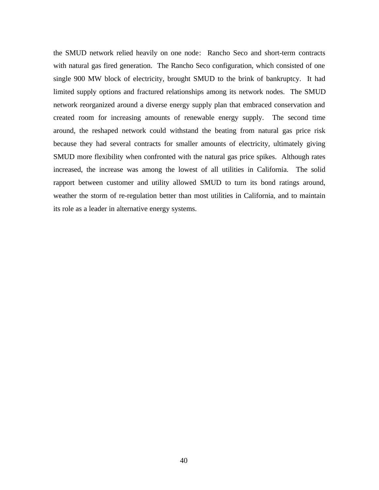the SMUD network relied heavily on one node: Rancho Seco and short-term contracts with natural gas fired generation. The Rancho Seco configuration, which consisted of one single 900 MW block of electricity, brought SMUD to the brink of bankruptcy. It had limited supply options and fractured relationships among its network nodes. The SMUD network reorganized around a diverse energy supply plan that embraced conservation and created room for increasing amounts of renewable energy supply. The second time around, the reshaped network could withstand the beating from natural gas price risk because they had several contracts for smaller amounts of electricity, ultimately giving SMUD more flexibility when confronted with the natural gas price spikes. Although rates increased, the increase was among the lowest of all utilities in California. The solid rapport between customer and utility allowed SMUD to turn its bond ratings around, weather the storm of re-regulation better than most utilities in California, and to maintain its role as a leader in alternative energy systems.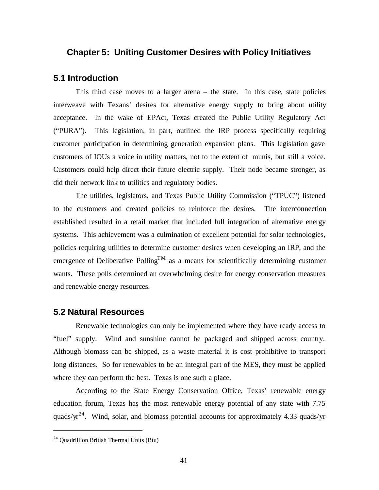# **Chapter 5: Uniting Customer Desires with Policy Initiatives**

#### **5.1 Introduction**

This third case moves to a larger arena – the state. In this case, state policies interweave with Texans' desires for alternative energy supply to bring about utility acceptance. In the wake of EPAct, Texas created the Public Utility Regulatory Act ("PURA"). This legislation, in part, outlined the IRP process specifically requiring customer participation in determining generation expansion plans. This legislation gave customers of IOUs a voice in utility matters, not to the extent of munis, but still a voice. Customers could help direct their future electric supply. Their node became stronger, as did their network link to utilities and regulatory bodies.

The utilities, legislators, and Texas Public Utility Commission ("TPUC") listened to the customers and created policies to reinforce the desires. The interconnection established resulted in a retail market that included full integration of alternative energy systems. This achievement was a culmination of excellent potential for solar technologies, policies requiring utilities to determine customer desires when developing an IRP, and the emergence of Deliberative Polling<sup>TM</sup> as a means for scientifically determining customer wants. These polls determined an overwhelming desire for energy conservation measures and renewable energy resources.

### **5.2 Natural Resources**

Renewable technologies can only be implemented where they have ready access to "fuel" supply. Wind and sunshine cannot be packaged and shipped across country. Although biomass can be shipped, as a waste material it is cost prohibitive to transport long distances. So for renewables to be an integral part of the MES, they must be applied where they can perform the best. Texas is one such a place.

According to the State Energy Conservation Office, Texas' renewable energy education forum, Texas has the most renewable energy potential of any state with 7.75 quads/ $yr^{24}$ . Wind, solar, and biomass potential accounts for approximately 4.33 quads/yr

 $24$  Quadrillion British Thermal Units (Btu)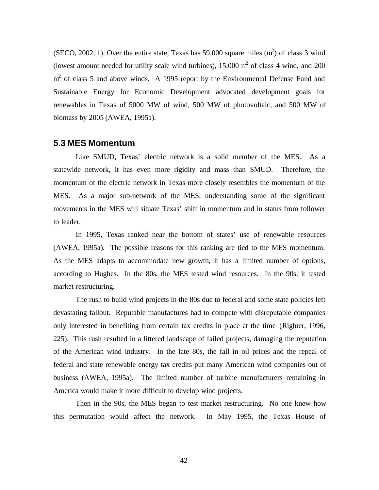(SECO, 2002, 1). Over the entire state, Texas has 59,000 square miles  $(m<sup>2</sup>)$  of class 3 wind (lowest amount needed for utility scale wind turbines),  $15,000$  m<sup>2</sup> of class 4 wind, and 200  $m<sup>2</sup>$  of class 5 and above winds. A 1995 report by the Environmental Defense Fund and Sustainable Energy for Economic Development advocated development goals for renewables in Texas of 5000 MW of wind, 500 MW of photovoltaic, and 500 MW of biomass by 2005 (AWEA, 1995a).

### **5.3 MES Momentum**

Like SMUD, Texas' electric network is a solid member of the MES. As a statewide network, it has even more rigidity and mass than SMUD. Therefore, the momentum of the electric network in Texas more closely resembles the momentum of the MES. As a major sub-network of the MES, understanding some of the significant movements in the MES will situate Texas' shift in momentum and in status from follower to leader.

In 1995, Texas ranked near the bottom of states' use of renewable resources (AWEA, 1995a). The possible reasons for this ranking are tied to the MES momentum. As the MES adapts to accommodate new growth, it has a limited number of options, according to Hughes. In the 80s, the MES tested wind resources. In the 90s, it tested market restructuring.

The rush to build wind projects in the 80s due to federal and some state policies left devastating fallout. Reputable manufactures had to compete with disreputable companies only interested in benefiting from certain tax credits in place at the time (Righter, 1996, 225). This rush resulted in a littered landscape of failed projects, damaging the reputation of the American wind industry. In the late 80s, the fall in oil prices and the repeal of federal and state renewable energy tax credits put many American wind companies out of business (AWEA, 1995a). The limited number of turbine manufacturers remaining in America would make it more difficult to develop wind projects.

Then in the 90s, the MES began to test market restructuring. No one knew how this permutation would affect the network. In May 1995, the Texas House of

42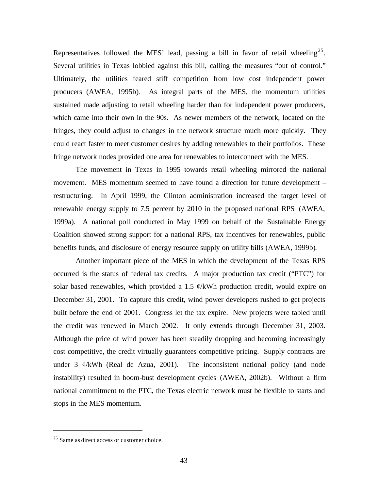Representatives followed the MES' lead, passing a bill in favor of retail wheeling<sup>25</sup>. Several utilities in Texas lobbied against this bill, calling the measures "out of control." Ultimately, the utilities feared stiff competition from low cost independent power producers (AWEA, 1995b). As integral parts of the MES, the momentum utilities sustained made adjusting to retail wheeling harder than for independent power producers, which came into their own in the 90s. As newer members of the network, located on the fringes, they could adjust to changes in the network structure much more quickly. They could react faster to meet customer desires by adding renewables to their portfolios. These fringe network nodes provided one area for renewables to interconnect with the MES.

The movement in Texas in 1995 towards retail wheeling mirrored the national movement. MES momentum seemed to have found a direction for future development – restructuring. In April 1999, the Clinton administration increased the target level of renewable energy supply to 7.5 percent by 2010 in the proposed national RPS (AWEA, 1999a). A national poll conducted in May 1999 on behalf of the Sustainable Energy Coalition showed strong support for a national RPS, tax incentives for renewables, public benefits funds, and disclosure of energy resource supply on utility bills (AWEA, 1999b).

Another important piece of the MES in which the development of the Texas RPS occurred is the status of federal tax credits. A major production tax credit ("PTC") for solar based renewables, which provided a 1.5  $\mathcal{C}/kWh$  production credit, would expire on December 31, 2001. To capture this credit, wind power developers rushed to get projects built before the end of 2001. Congress let the tax expire. New projects were tabled until the credit was renewed in March 2002. It only extends through December 31, 2003. Although the price of wind power has been steadily dropping and becoming increasingly cost competitive, the credit virtually guarantees competitive pricing. Supply contracts are under 3  $\mathcal{C}/kWh$  (Real de Azua, 2001). The inconsistent national policy (and node instability) resulted in boom-bust development cycles (AWEA, 2002b). Without a firm national commitment to the PTC, the Texas electric network must be flexible to starts and stops in the MES momentum.

<sup>&</sup>lt;sup>25</sup> Same as direct access or customer choice.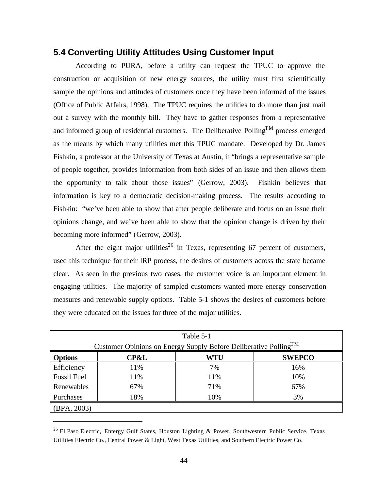# **5.4 Converting Utility Attitudes Using Customer Input**

According to PURA, before a utility can request the TPUC to approve the construction or acquisition of new energy sources, the utility must first scientifically sample the opinions and attitudes of customers once they have been informed of the issues (Office of Public Affairs, 1998). The TPUC requires the utilities to do more than just mail out a survey with the monthly bill. They have to gather responses from a representative and informed group of residential customers. The Deliberative Polling<sup>TM</sup> process emerged as the means by which many utilities met this TPUC mandate. Developed by Dr. James Fishkin, a professor at the University of Texas at Austin, it "brings a representative sample of people together, provides information from both sides of an issue and then allows them the opportunity to talk about those issues" (Gerrow, 2003). Fishkin believes that information is key to a democratic decision-making process. The results according to Fishkin: "we've been able to show that after people deliberate and focus on an issue their opinions change, and we've been able to show that the opinion change is driven by their becoming more informed" (Gerrow, 2003).

After the eight major utilities<sup>26</sup> in Texas, representing 67 percent of customers, used this technique for their IRP process, the desires of customers across the state became clear. As seen in the previous two cases, the customer voice is an important element in engaging utilities. The majority of sampled customers wanted more energy conservation measures and renewable supply options. Table 5-1 shows the desires of customers before they were educated on the issues for three of the major utilities.

| Table 5-1                                                                    |                 |     |               |
|------------------------------------------------------------------------------|-----------------|-----|---------------|
| Customer Opinions on Energy Supply Before Deliberative Polling <sup>TM</sup> |                 |     |               |
| <b>Options</b>                                                               | <b>CP&amp;L</b> | WTU | <b>SWEPCO</b> |
| Efficiency                                                                   | 11%             | 7%  | 16%           |
| Fossil Fuel                                                                  | 11%             | 11% | 10%           |
| Renewables                                                                   | 67%             | 71% | 67%           |
| Purchases                                                                    | 18%             | 10% | 3%            |
| (BPA, 2003)                                                                  |                 |     |               |

<sup>&</sup>lt;sup>26</sup> El Paso Electric, Entergy Gulf States, Houston Lighting & Power, Southwestern Public Service, Texas Utilities Electric Co., Central Power & Light, West Texas Utilities, and Southern Electric Power Co.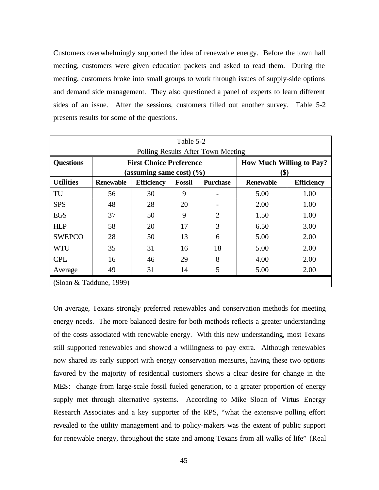Customers overwhelmingly supported the idea of renewable energy. Before the town hall meeting, customers were given education packets and asked to read them. During the meeting, customers broke into small groups to work through issues of supply-side options and demand side management. They also questioned a panel of experts to learn different sides of an issue. After the sessions, customers filled out another survey. Table 5-2 presents results for some of the questions.

| Table 5-2                          |                                |                   |                                                                  |                                         |                  |                   |
|------------------------------------|--------------------------------|-------------------|------------------------------------------------------------------|-----------------------------------------|------------------|-------------------|
| Polling Results After Town Meeting |                                |                   |                                                                  |                                         |                  |                   |
| <b>Questions</b>                   | <b>First Choice Preference</b> |                   |                                                                  | <b>How Much Willing to Pay?</b><br>(\$) |                  |                   |
| <b>Utilities</b>                   | <b>Renewable</b>               | <b>Efficiency</b> | (assuming same cost) $(\% )$<br><b>Fossil</b><br><b>Purchase</b> |                                         | <b>Renewable</b> | <b>Efficiency</b> |
|                                    |                                |                   |                                                                  |                                         |                  |                   |
| TU                                 | 56                             | 30                | 9                                                                |                                         | 5.00             | 1.00              |
| <b>SPS</b>                         | 48                             | 28                | 20                                                               |                                         | 2.00             | 1.00              |
| <b>EGS</b>                         | 37                             | 50                | 9                                                                | $\overline{2}$                          | 1.50             | 1.00              |
| <b>HLP</b>                         | 58                             | 20                | 17                                                               | 3                                       | 6.50             | 3.00              |
| <b>SWEPCO</b>                      | 28                             | 50                | 13                                                               | 6                                       | 5.00             | 2.00              |
| <b>WTU</b>                         | 35                             | 31                | 16                                                               | 18                                      | 5.00             | 2.00              |
| <b>CPL</b>                         | 16                             | 46                | 29                                                               | 8                                       | 4.00             | 2.00              |
| Average                            | 49                             | 31                | 14                                                               | 5                                       | 5.00             | 2.00              |
| (Sloan & Taddune, 1999)            |                                |                   |                                                                  |                                         |                  |                   |

On average, Texans strongly preferred renewables and conservation methods for meeting energy needs. The more balanced desire for both methods reflects a greater understanding of the costs associated with renewable energy. With this new understanding, most Texans still supported renewables and showed a willingness to pay extra. Although renewables now shared its early support with energy conservation measures, having these two options favored by the majority of residential customers shows a clear desire for change in the MES: change from large-scale fossil fueled generation, to a greater proportion of energy supply met through alternative systems. According to Mike Sloan of Virtus Energy Research Associates and a key supporter of the RPS, "what the extensive polling effort revealed to the utility management and to policy-makers was the extent of public support for renewable energy, throughout the state and among Texans from all walks of life" (Real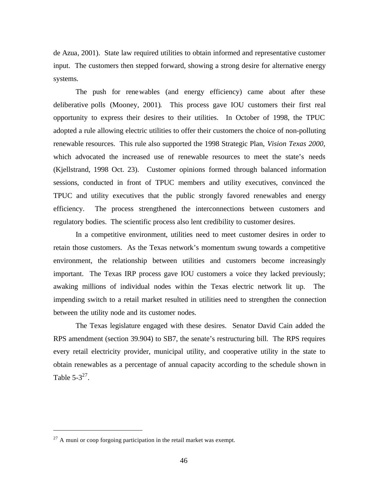de Azua, 2001). State law required utilities to obtain informed and representative customer input. The customers then stepped forward, showing a strong desire for alternative energy systems.

The push for renewables (and energy efficiency) came about after these deliberative polls (Mooney, 2001). This process gave IOU customers their first real opportunity to express their desires to their utilities. In October of 1998, the TPUC adopted a rule allowing electric utilities to offer their customers the choice of non-polluting renewable resources. This rule also supported the 1998 Strategic Plan, *Vision Texas 2000*, which advocated the increased use of renewable resources to meet the state's needs (Kjellstrand, 1998 Oct. 23). Customer opinions formed through balanced information sessions, conducted in front of TPUC members and utility executives, convinced the TPUC and utility executives that the public strongly favored renewables and energy efficiency. The process strengthened the interconnections between customers and regulatory bodies. The scientific process also lent credibility to customer desires.

In a competitive environment, utilities need to meet customer desires in order to retain those customers. As the Texas network's momentum swung towards a competitive environment, the relationship between utilities and customers become increasingly important. The Texas IRP process gave IOU customers a voice they lacked previously; awaking millions of individual nodes within the Texas electric network lit up. The impending switch to a retail market resulted in utilities need to strengthen the connection between the utility node and its customer nodes.

The Texas legislature engaged with these desires. Senator David Cain added the RPS amendment (section 39.904) to SB7, the senate's restructuring bill. The RPS requires every retail electricity provider, municipal utility, and cooperative utility in the state to obtain renewables as a percentage of annual capacity according to the schedule shown in Table  $5-3^{27}$ .

 $^{27}$  A muni or coop forgoing participation in the retail market was exempt.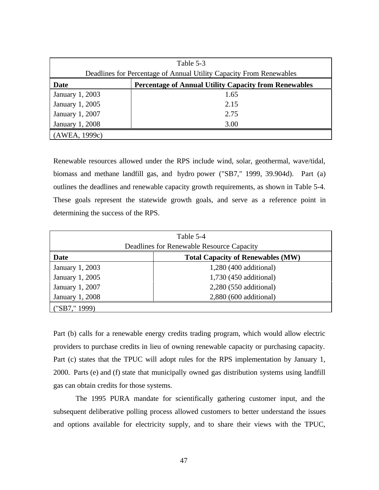| Table 5-3                                                            |      |  |
|----------------------------------------------------------------------|------|--|
| Deadlines for Percentage of Annual Utility Capacity From Renewables  |      |  |
| Date<br><b>Percentage of Annual Utility Capacity from Renewables</b> |      |  |
| January 1, 2003                                                      | 1.65 |  |
| January 1, 2005                                                      | 2.15 |  |
| January 1, 2007                                                      | 2.75 |  |
| January 1, 2008                                                      | 3.00 |  |
| (AWEA, 1999c)                                                        |      |  |

Renewable resources allowed under the RPS include wind, solar, geothermal, wave/tidal, biomass and methane landfill gas, and hydro power ("SB7," 1999, 39.904d). Part (a) outlines the deadlines and renewable capacity growth requirements, as shown in Table 5-4. These goals represent the statewide growth goals, and serve as a reference point in determining the success of the RPS.

| Table 5-4                                 |                                          |  |
|-------------------------------------------|------------------------------------------|--|
| Deadlines for Renewable Resource Capacity |                                          |  |
| <b>Date</b>                               | <b>Total Capacity of Renewables (MW)</b> |  |
| January 1, 2003                           | 1,280 (400 additional)                   |  |
| January 1, 2005                           | 1,730 (450 additional)                   |  |
| January 1, 2007                           | 2,280 (550 additional)                   |  |
| January 1, 2008                           | 2,880 (600 additional)                   |  |
| ("SB7," 1999)                             |                                          |  |

Part (b) calls for a renewable energy credits trading program, which would allow electric providers to purchase credits in lieu of owning renewable capacity or purchasing capacity. Part (c) states that the TPUC will adopt rules for the RPS implementation by January 1, 2000. Parts (e) and (f) state that municipally owned gas distribution systems using landfill gas can obtain credits for those systems.

The 1995 PURA mandate for scientifically gathering customer input, and the subsequent deliberative polling process allowed customers to better understand the issues and options available for electricity supply, and to share their views with the TPUC,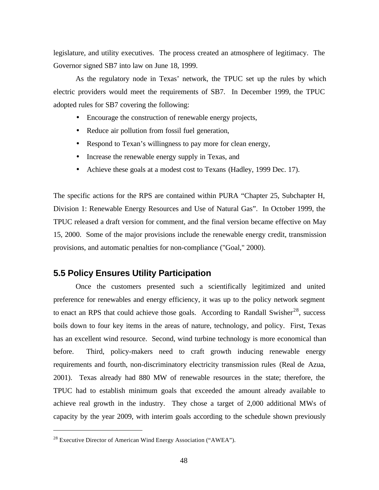legislature, and utility executives. The process created an atmosphere of legitimacy. The Governor signed SB7 into law on June 18, 1999.

As the regulatory node in Texas' network, the TPUC set up the rules by which electric providers would meet the requirements of SB7. In December 1999, the TPUC adopted rules for SB7 covering the following:

- Encourage the construction of renewable energy projects,
- Reduce air pollution from fossil fuel generation,
- Respond to Texan's willingness to pay more for clean energy,
- Increase the renewable energy supply in Texas, and
- Achieve these goals at a modest cost to Texans (Hadley, 1999 Dec. 17).

The specific actions for the RPS are contained within PURA "Chapter 25, Subchapter H, Division 1: Renewable Energy Resources and Use of Natural Gas". In October 1999, the TPUC released a draft version for comment, and the final version became effective on May 15, 2000. Some of the major provisions include the renewable energy credit, transmission provisions, and automatic penalties for non-compliance ("Goal," 2000).

### **5.5 Policy Ensures Utility Participation**

Once the customers presented such a scientifically legitimized and united preference for renewables and energy efficiency, it was up to the policy network segment to enact an RPS that could achieve those goals. According to Randall Swisher<sup>28</sup>, success boils down to four key items in the areas of nature, technology, and policy. First, Texas has an excellent wind resource. Second, wind turbine technology is more economical than before. Third, policy-makers need to craft growth inducing renewable energy requirements and fourth, non-discriminatory electricity transmission rules (Real de Azua, 2001). Texas already had 880 MW of renewable resources in the state; therefore, the TPUC had to establish minimum goals that exceeded the amount already available to achieve real growth in the industry. They chose a target of 2,000 additional MWs of capacity by the year 2009, with interim goals according to the schedule shown previously

<sup>28</sup> Executive Director of American Wind Energy Association ("AWEA").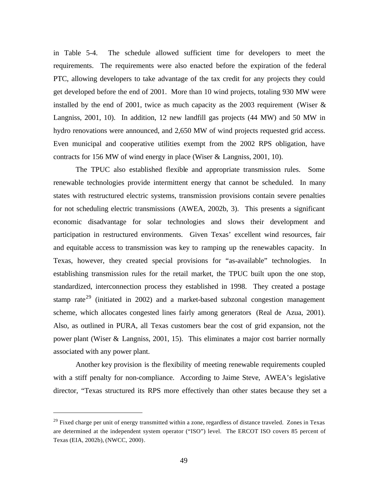in Table 5-4. The schedule allowed sufficient time for developers to meet the requirements. The requirements were also enacted before the expiration of the federal PTC, allowing developers to take advantage of the tax credit for any projects they could get developed before the end of 2001. More than 10 wind projects, totaling 930 MW were installed by the end of 2001, twice as much capacity as the 2003 requirement (Wiser  $\&$ Langniss, 2001, 10). In addition, 12 new landfill gas projects (44 MW) and 50 MW in hydro renovations were announced, and 2,650 MW of wind projects requested grid access. Even municipal and cooperative utilities exempt from the 2002 RPS obligation, have contracts for 156 MW of wind energy in place (Wiser & Langniss, 2001, 10).

The TPUC also established flexible and appropriate transmission rules. Some renewable technologies provide intermittent energy that cannot be scheduled. In many states with restructured electric systems, transmission provisions contain severe penalties for not scheduling electric transmissions (AWEA, 2002b, 3). This presents a significant economic disadvantage for solar technologies and slows their development and participation in restructured environments. Given Texas' excellent wind resources, fair and equitable access to transmission was key to ramping up the renewables capacity. In Texas, however, they created special provisions for "as-available" technologies. In establishing transmission rules for the retail market, the TPUC built upon the one stop, standardized, interconnection process they established in 1998. They created a postage stamp rate<sup>29</sup> (initiated in 2002) and a market-based subzonal congestion management scheme, which allocates congested lines fairly among generators (Real de Azua, 2001). Also, as outlined in PURA, all Texas customers bear the cost of grid expansion, not the power plant (Wiser & Langniss, 2001, 15). This eliminates a major cost barrier normally associated with any power plant.

Another key provision is the flexibility of meeting renewable requirements coupled with a stiff penalty for non-compliance. According to Jaime Steve, AWEA's legislative director, "Texas structured its RPS more effectively than other states because they set a

<sup>&</sup>lt;sup>29</sup> Fixed charge per unit of energy transmitted within a zone, regardless of distance traveled. Zones in Texas are determined at the independent system operator ("ISO") level. The ERCOT ISO covers 85 percent of Texas (EIA, 2002b), (NWCC, 2000).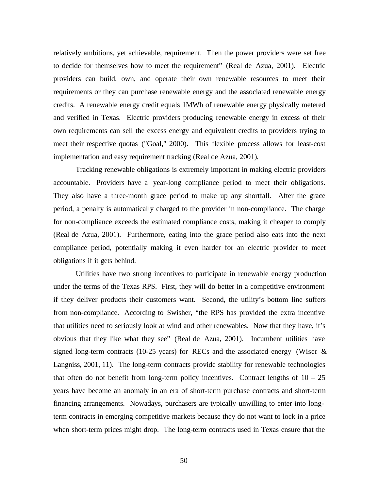relatively ambitions, yet achievable, requirement. Then the power providers were set free to decide for themselves how to meet the requirement" (Real de Azua, 2001). Electric providers can build, own, and operate their own renewable resources to meet their requirements or they can purchase renewable energy and the associated renewable energy credits. A renewable energy credit equals 1MWh of renewable energy physically metered and verified in Texas. Electric providers producing renewable energy in excess of their own requirements can sell the excess energy and equivalent credits to providers trying to meet their respective quotas ("Goal," 2000). This flexible process allows for least-cost implementation and easy requirement tracking (Real de Azua, 2001).

Tracking renewable obligations is extremely important in making electric providers accountable. Providers have a year-long compliance period to meet their obligations. They also have a three-month grace period to make up any shortfall. After the grace period, a penalty is automatically charged to the provider in non-compliance. The charge for non-compliance exceeds the estimated compliance costs, making it cheaper to comply (Real de Azua, 2001). Furthermore, eating into the grace period also eats into the next compliance period, potentially making it even harder for an electric provider to meet obligations if it gets behind.

Utilities have two strong incentives to participate in renewable energy production under the terms of the Texas RPS. First, they will do better in a competitive environment if they deliver products their customers want. Second, the utility's bottom line suffers from non-compliance. According to Swisher, "the RPS has provided the extra incentive that utilities need to seriously look at wind and other renewables. Now that they have, it's obvious that they like what they see" (Real de Azua, 2001). Incumbent utilities have signed long-term contracts (10-25 years) for RECs and the associated energy (Wiser & Langniss, 2001, 11). The long-term contracts provide stability for renewable technologies that often do not benefit from long-term policy incentives. Contract lengths of  $10 - 25$ years have become an anomaly in an era of short-term purchase contracts and short-term financing arrangements. Nowadays, purchasers are typically unwilling to enter into longterm contracts in emerging competitive markets because they do not want to lock in a price when short-term prices might drop. The long-term contracts used in Texas ensure that the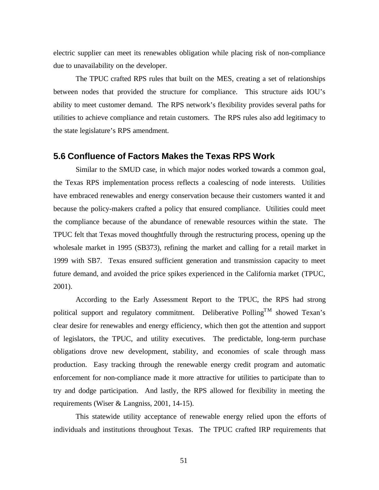electric supplier can meet its renewables obligation while placing risk of non-compliance due to unavailability on the developer.

The TPUC crafted RPS rules that built on the MES, creating a set of relationships between nodes that provided the structure for compliance. This structure aids IOU's ability to meet customer demand. The RPS network's flexibility provides several paths for utilities to achieve compliance and retain customers. The RPS rules also add legitimacy to the state legislature's RPS amendment.

### **5.6 Confluence of Factors Makes the Texas RPS Work**

Similar to the SMUD case, in which major nodes worked towards a common goal, the Texas RPS implementation process reflects a coalescing of node interests. Utilities have embraced renewables and energy conservation because their customers wanted it and because the policy-makers crafted a policy that ensured compliance. Utilities could meet the compliance because of the abundance of renewable resources within the state. The TPUC felt that Texas moved thoughtfully through the restructuring process, opening up the wholesale market in 1995 (SB373), refining the market and calling for a retail market in 1999 with SB7. Texas ensured sufficient generation and transmission capacity to meet future demand, and avoided the price spikes experienced in the California market (TPUC, 2001).

According to the Early Assessment Report to the TPUC, the RPS had strong political support and regulatory commitment. Deliberative Polling<sup>TM</sup> showed Texan's clear desire for renewables and energy efficiency, which then got the attention and support of legislators, the TPUC, and utility executives. The predictable, long-term purchase obligations drove new development, stability, and economies of scale through mass production. Easy tracking through the renewable energy credit program and automatic enforcement for non-compliance made it more attractive for utilities to participate than to try and dodge participation. And lastly, the RPS allowed for flexibility in meeting the requirements (Wiser & Langniss, 2001, 14-15).

This statewide utility acceptance of renewable energy relied upon the efforts of individuals and institutions throughout Texas. The TPUC crafted IRP requirements that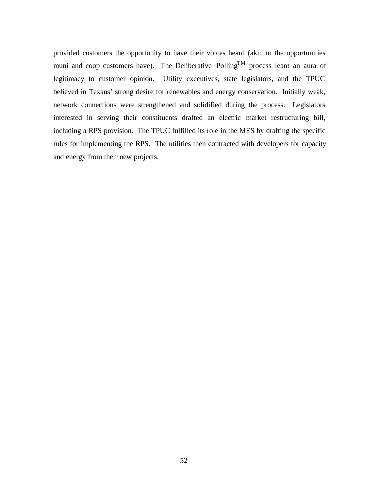provided customers the opportunity to have their voices heard (akin to the opportunities muni and coop customers have). The Deliberative Polling<sup>TM</sup> process leant an aura of legitimacy to customer opinion. Utility executives, state legislators, and the TPUC believed in Texans' strong desire for renewables and energy conservation. Initially weak, network connections were strengthened and solidified during the process. Legislators interested in serving their constituents drafted an electric market restructuring bill, including a RPS provision. The TPUC fulfilled its role in the MES by drafting the specific rules for implementing the RPS. The utilities then contracted with developers for capacity and energy from their new projects.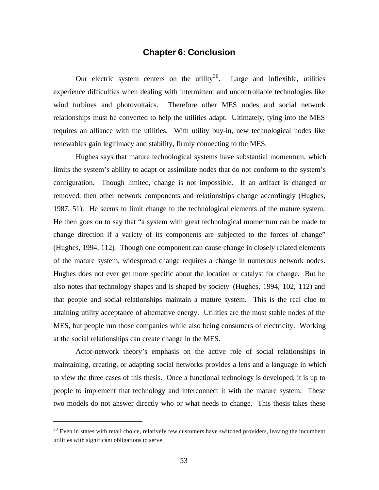### **Chapter 6: Conclusion**

Our electric system centers on the utility<sup>30</sup>. Large and inflexible, utilities experience difficulties when dealing with intermittent and uncontrollable technologies like wind turbines and photovoltaics. Therefore other MES nodes and social network relationships must be converted to help the utilities adapt. Ultimately, tying into the MES requires an alliance with the utilities. With utility buy-in, new technological nodes like renewables gain legitimacy and stability, firmly connecting to the MES.

Hughes says that mature technological systems have substantial momentum, which limits the system's ability to adapt or assimilate nodes that do not conform to the system's configuration. Though limited, change is not impossible. If an artifact is changed or removed, then other network components and relationships change accordingly (Hughes, 1987, 51). He seems to limit change to the technological elements of the mature system. He then goes on to say that "a system with great technological momentum can be made to change direction if a variety of its components are subjected to the forces of change" (Hughes, 1994, 112). Though one component can cause change in closely related elements of the mature system, widespread change requires a change in numerous network nodes. Hughes does not ever get more specific about the location or catalyst for change. But he also notes that technology shapes and is shaped by society (Hughes, 1994, 102, 112) and that people and social relationships maintain a mature system. This is the real clue to attaining utility acceptance of alternative energy. Utilities are the most stable nodes of the MES, but people run those companies while also being consumers of electricity. Working at the social relationships can create change in the MES.

Actor-network theory's emphasis on the active role of social relationships in maintaining, creating, or adapting social networks provides a lens and a language in which to view the three cases of this thesis. Once a functional technology is developed, it is up to people to implement that technology and interconnect it with the mature system. These two models do not answer directly who or what needs to change. This thesis takes these

<sup>&</sup>lt;sup>30</sup> Even in states with retail choice, relatively few customers have switched providers, leaving the incumbent utilities with significant obligations to serve.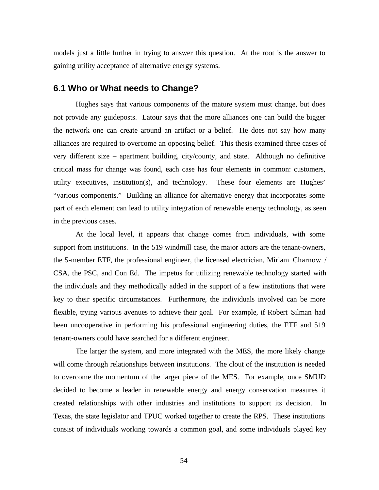models just a little further in trying to answer this question. At the root is the answer to gaining utility acceptance of alternative energy systems.

### **6.1 Who or What needs to Change?**

Hughes says that various components of the mature system must change, but does not provide any guideposts. Latour says that the more alliances one can build the bigger the network one can create around an artifact or a belief. He does not say how many alliances are required to overcome an opposing belief. This thesis examined three cases of very different size – apartment building, city/county, and state. Although no definitive critical mass for change was found, each case has four elements in common: customers, utility executives, institution(s), and technology. These four elements are Hughes' "various components." Building an alliance for alternative energy that incorporates some part of each element can lead to utility integration of renewable energy technology, as seen in the previous cases.

At the local level, it appears that change comes from individuals, with some support from institutions. In the 519 windmill case, the major actors are the tenant-owners, the 5-member ETF, the professional engineer, the licensed electrician, Miriam Charnow / CSA, the PSC, and Con Ed. The impetus for utilizing renewable technology started with the individuals and they methodically added in the support of a few institutions that were key to their specific circumstances. Furthermore, the individuals involved can be more flexible, trying various avenues to achieve their goal. For example, if Robert Silman had been uncooperative in performing his professional engineering duties, the ETF and 519 tenant-owners could have searched for a different engineer.

The larger the system, and more integrated with the MES, the more likely change will come through relationships between institutions. The clout of the institution is needed to overcome the momentum of the larger piece of the MES. For example, once SMUD decided to become a leader in renewable energy and energy conservation measures it created relationships with other industries and institutions to support its decision. In Texas, the state legislator and TPUC worked together to create the RPS. These institutions consist of individuals working towards a common goal, and some individuals played key

54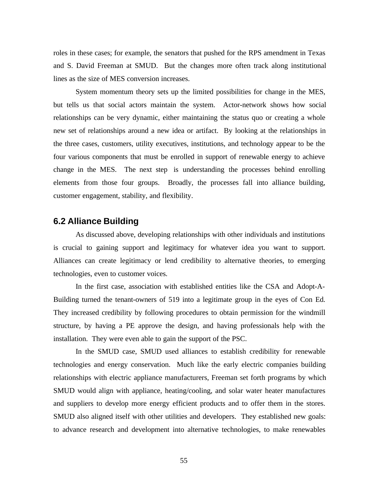roles in these cases; for example, the senators that pushed for the RPS amendment in Texas and S. David Freeman at SMUD. But the changes more often track along institutional lines as the size of MES conversion increases.

System momentum theory sets up the limited possibilities for change in the MES, but tells us that social actors maintain the system. Actor-network shows how social relationships can be very dynamic, either maintaining the status quo or creating a whole new set of relationships around a new idea or artifact. By looking at the relationships in the three cases, customers, utility executives, institutions, and technology appear to be the four various components that must be enrolled in support of renewable energy to achieve change in the MES. The next step is understanding the processes behind enrolling elements from those four groups. Broadly, the processes fall into alliance building, customer engagement, stability, and flexibility.

### **6.2 Alliance Building**

As discussed above, developing relationships with other individuals and institutions is crucial to gaining support and legitimacy for whatever idea you want to support. Alliances can create legitimacy or lend credibility to alternative theories, to emerging technologies, even to customer voices.

In the first case, association with established entities like the CSA and Adopt-A-Building turned the tenant-owners of 519 into a legitimate group in the eyes of Con Ed. They increased credibility by following procedures to obtain permission for the windmill structure, by having a PE approve the design, and having professionals help with the installation. They were even able to gain the support of the PSC.

In the SMUD case, SMUD used alliances to establish credibility for renewable technologies and energy conservation. Much like the early electric companies building relationships with electric appliance manufacturers, Freeman set forth programs by which SMUD would align with appliance, heating/cooling, and solar water heater manufactures and suppliers to develop more energy efficient products and to offer them in the stores. SMUD also aligned itself with other utilities and developers. They established new goals: to advance research and development into alternative technologies, to make renewables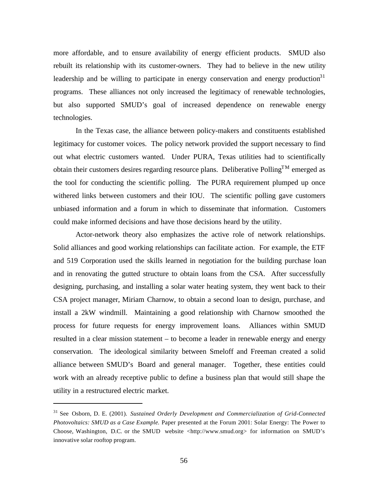more affordable, and to ensure availability of energy efficient products. SMUD also rebuilt its relationship with its customer-owners. They had to believe in the new utility leadership and be willing to participate in energy conservation and energy production $31$ programs. These alliances not only increased the legitimacy of renewable technologies, but also supported SMUD's goal of increased dependence on renewable energy technologies.

In the Texas case, the alliance between policy-makers and constituents established legitimacy for customer voices. The policy network provided the support necessary to find out what electric customers wanted. Under PURA, Texas utilities had to scientifically obtain their customers desires regarding resource plans. Deliberative Polling<sup>TM</sup> emerged as the tool for conducting the scientific polling. The PURA requirement plumped up once withered links between customers and their IOU. The scientific polling gave customers unbiased information and a forum in which to disseminate that information. Customers could make informed decisions and have those decisions heard by the utility.

Actor-network theory also emphasizes the active role of network relationships. Solid alliances and good working relationships can facilitate action. For example, the ETF and 519 Corporation used the skills learned in negotiation for the building purchase loan and in renovating the gutted structure to obtain loans from the CSA. After successfully designing, purchasing, and installing a solar water heating system, they went back to their CSA project manager, Miriam Charnow, to obtain a second loan to design, purchase, and install a 2kW windmill. Maintaining a good relationship with Charnow smoothed the process for future requests for energy improvement loans. Alliances within SMUD resulted in a clear mission statement – to become a leader in renewable energy and energy conservation. The ideological similarity between Smeloff and Freeman created a solid alliance between SMUD's Board and general manager. Together, these entities could work with an already receptive public to define a business plan that would still shape the utility in a restructured electric market.

<sup>31</sup> See Osborn, D. E. (2001). *Sustained Orderly Development and Commercialization of Grid-Connected Photovoltaics: SMUD as a Case Example.* Paper presented at the Forum 2001: Solar Energy: The Power to Choose, Washington, D.C. or the SMUD website <http://www.smud.org> for information on SMUD's innovative solar rooftop program.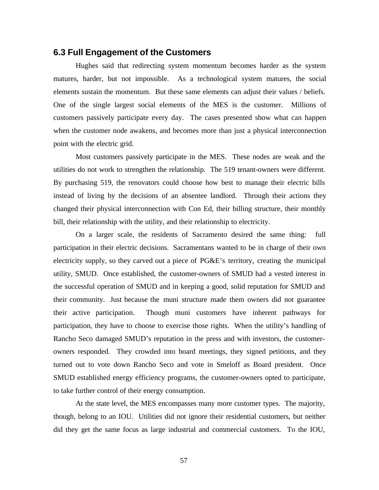#### **6.3 Full Engagement of the Customers**

Hughes said that redirecting system momentum becomes harder as the system matures, harder, but not impossible. As a technological system matures, the social elements sustain the momentum. But these same elements can adjust their values / beliefs. One of the single largest social elements of the MES is the customer. Millions of customers passively participate every day. The cases presented show what can happen when the customer node awakens, and becomes more than just a physical interconnection point with the electric grid.

Most customers passively participate in the MES. These nodes are weak and the utilities do not work to strengthen the relationship. The 519 tenant-owners were different. By purchasing 519, the renovators could choose how best to manage their electric bills instead of living by the decisions of an absentee landlord. Through their actions they changed their physical interconnection with Con Ed, their billing structure, their monthly bill, their relationship with the utility, and their relationship to electricity.

On a larger scale, the residents of Sacramento desired the same thing: full participation in their electric decisions. Sacramentans wanted to be in charge of their own electricity supply, so they carved out a piece of PG&E's territory, creating the municipal utility, SMUD. Once established, the customer-owners of SMUD had a vested interest in the successful operation of SMUD and in keeping a good, solid reputation for SMUD and their community. Just because the muni structure made them owners did not guarantee their active participation. Though muni customers have inherent pathways for participation, they have to choose to exercise those rights. When the utility's handling of Rancho Seco damaged SMUD's reputation in the press and with investors, the customerowners responded. They crowded into board meetings, they signed petitions, and they turned out to vote down Rancho Seco and vote in Smeloff as Board president. Once SMUD established energy efficiency programs, the customer-owners opted to participate, to take further control of their energy consumption.

At the state level, the MES encompasses many more customer types. The majority, though, belong to an IOU. Utilities did not ignore their residential customers, but neither did they get the same focus as large industrial and commercial customers. To the IOU,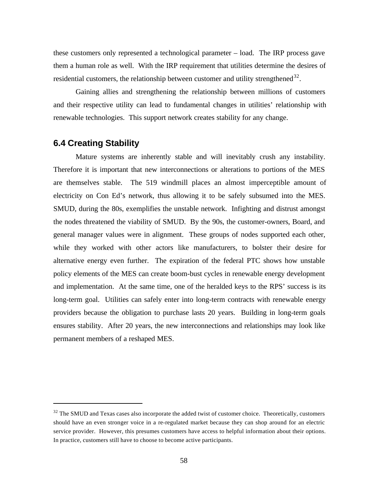these customers only represented a technological parameter – load. The IRP process gave them a human role as well. With the IRP requirement that utilities determine the desires of residential customers, the relationship between customer and utility strengthened<sup>32</sup>.

Gaining allies and strengthening the relationship between millions of customers and their respective utility can lead to fundamental changes in utilities' relationship with renewable technologies. This support network creates stability for any change.

## **6.4 Creating Stability**

 $\overline{a}$ 

Mature systems are inherently stable and will inevitably crush any instability. Therefore it is important that new interconnections or alterations to portions of the MES are themselves stable. The 519 windmill places an almost imperceptible amount of electricity on Con Ed's network, thus allowing it to be safely subsumed into the MES. SMUD, during the 80s, exemplifies the unstable network. Infighting and distrust amongst the nodes threatened the viability of SMUD. By the 90s, the customer-owners, Board, and general manager values were in alignment. These groups of nodes supported each other, while they worked with other actors like manufacturers, to bolster their desire for alternative energy even further. The expiration of the federal PTC shows how unstable policy elements of the MES can create boom-bust cycles in renewable energy development and implementation. At the same time, one of the heralded keys to the RPS' success is its long-term goal. Utilities can safely enter into long-term contracts with renewable energy providers because the obligation to purchase lasts 20 years. Building in long-term goals ensures stability. After 20 years, the new interconnections and relationships may look like permanent members of a reshaped MES.

 $32$  The SMUD and Texas cases also incorporate the added twist of customer choice. Theoretically, customers should have an even stronger voice in a re-regulated market because they can shop around for an electric service provider. However, this presumes customers have access to helpful information about their options. In practice, customers still have to choose to become active participants.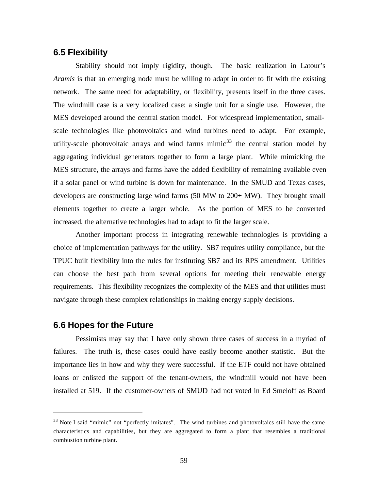## **6.5 Flexibility**

Stability should not imply rigidity, though. The basic realization in Latour's *Aramis* is that an emerging node must be willing to adapt in order to fit with the existing network. The same need for adaptability, or flexibility, presents itself in the three cases. The windmill case is a very localized case: a single unit for a single use. However, the MES developed around the central station model. For widespread implementation, smallscale technologies like photovoltaics and wind turbines need to adapt. For example, utility-scale photovoltaic arrays and wind farms mimic $33$  the central station model by aggregating individual generators together to form a large plant. While mimicking the MES structure, the arrays and farms have the added flexibility of remaining available even if a solar panel or wind turbine is down for maintenance. In the SMUD and Texas cases, developers are constructing large wind farms  $(50 \text{ MW})$  to  $200 + \text{MW}$ . They brought small elements together to create a larger whole. As the portion of MES to be converted increased, the alternative technologies had to adapt to fit the larger scale.

Another important process in integrating renewable technologies is providing a choice of implementation pathways for the utility. SB7 requires utility compliance, but the TPUC built flexibility into the rules for instituting SB7 and its RPS amendment. Utilities can choose the best path from several options for meeting their renewable energy requirements. This flexibility recognizes the complexity of the MES and that utilities must navigate through these complex relationships in making energy supply decisions.

### **6.6 Hopes for the Future**

 $\overline{a}$ 

Pessimists may say that I have only shown three cases of success in a myriad of failures. The truth is, these cases could have easily become another statistic. But the importance lies in how and why they were successful. If the ETF could not have obtained loans or enlisted the support of the tenant-owners, the windmill would not have been installed at 519. If the customer-owners of SMUD had not voted in Ed Smeloff as Board

<sup>&</sup>lt;sup>33</sup> Note I said "mimic" not "perfectly imitates". The wind turbines and photovoltaics still have the same characteristics and capabilities, but they are aggregated to form a plant that resembles a traditional combustion turbine plant.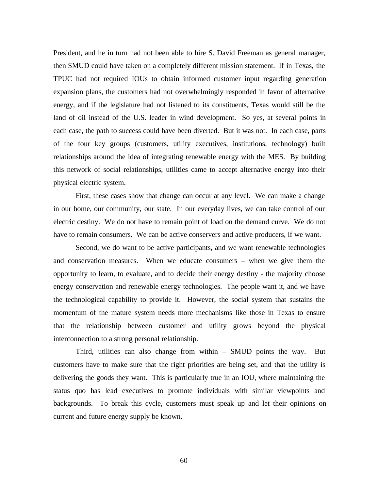President, and he in turn had not been able to hire S. David Freeman as general manager, then SMUD could have taken on a completely different mission statement. If in Texas, the TPUC had not required IOUs to obtain informed customer input regarding generation expansion plans, the customers had not overwhelmingly responded in favor of alternative energy, and if the legislature had not listened to its constituents, Texas would still be the land of oil instead of the U.S. leader in wind development. So yes, at several points in each case, the path to success could have been diverted. But it was not. In each case, parts of the four key groups (customers, utility executives, institutions, technology) built relationships around the idea of integrating renewable energy with the MES. By building this network of social relationships, utilities came to accept alternative energy into their physical electric system.

First, these cases show that change can occur at any level. We can make a change in our home, our community, our state. In our everyday lives, we can take control of our electric destiny. We do not have to remain point of load on the demand curve. We do not have to remain consumers. We can be active conservers and active producers, if we want.

Second, we do want to be active participants, and we want renewable technologies and conservation measures. When we educate consumers – when we give them the opportunity to learn, to evaluate, and to decide their energy destiny - the majority choose energy conservation and renewable energy technologies. The people want it, and we have the technological capability to provide it. However, the social system that sustains the momentum of the mature system needs more mechanisms like those in Texas to ensure that the relationship between customer and utility grows beyond the physical interconnection to a strong personal relationship.

Third, utilities can also change from within – SMUD points the way. But customers have to make sure that the right priorities are being set, and that the utility is delivering the goods they want. This is particularly true in an IOU, where maintaining the status quo has lead executives to promote individuals with similar viewpoints and backgrounds. To break this cycle, customers must speak up and let their opinions on current and future energy supply be known.

60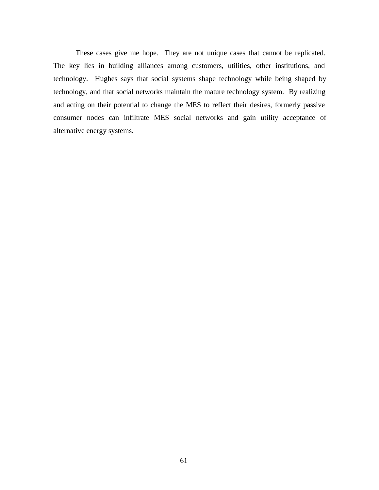These cases give me hope. They are not unique cases that cannot be replicated. The key lies in building alliances among customers, utilities, other institutions, and technology. Hughes says that social systems shape technology while being shaped by technology, and that social networks maintain the mature technology system. By realizing and acting on their potential to change the MES to reflect their desires, formerly passive consumer nodes can infiltrate MES social networks and gain utility acceptance of alternative energy systems.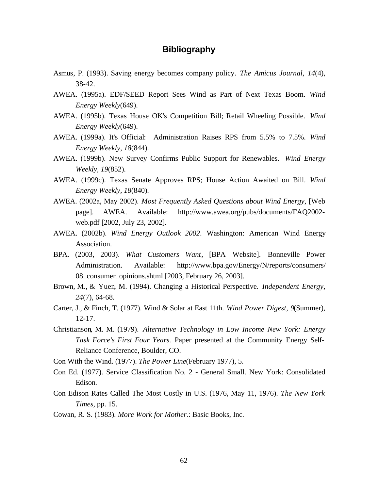# **Bibliography**

- Asmus, P. (1993). Saving energy becomes company policy. *The Amicus Journal, 14*(4), 38-42.
- AWEA. (1995a). EDF/SEED Report Sees Wind as Part of Next Texas Boom. *Wind Energy Weekly*(649).
- AWEA. (1995b). Texas House OK's Competition Bill; Retail Wheeling Possible. *Wind Energy Weekly*(649).
- AWEA. (1999a). It's Official: Administration Raises RPS from 5.5% to 7.5%. *Wind Energy Weekly, 18*(844).
- AWEA. (1999b). New Survey Confirms Public Support for Renewables. *Wind Energy Weekly, 19*(852).
- AWEA. (1999c). Texas Senate Approves RPS; House Action Awaited on Bill. *Wind Energy Weekly, 18*(840).
- AWEA. (2002a, May 2002). *Most Frequently Asked Questions about Wind Energy*, [Web page]. AWEA. Available: http://www.awea.org/pubs/documents/FAQ2002 web.pdf [2002, July 23, 2002].
- AWEA. (2002b). *Wind Energy Outlook 2002*. Washington: American Wind Energy Association.
- BPA. (2003, 2003). *What Customers Want*, [BPA Website]. Bonneville Power Administration. Available: http://www.bpa.gov/Energy/N/reports/consumers/ 08\_consumer\_opinions.shtml [2003, February 26, 2003].
- Brown, M., & Yuen, M. (1994). Changing a Historical Perspective. *Independent Energy, 24*(7), 64-68.
- Carter, J., & Finch, T. (1977). Wind & Solar at East 11th. *Wind Power Digest, 9*(Summer), 12-17.
- Christianson, M. M. (1979). *Alternative Technology in Low Income New York: Energy Task Force's First Four Years.* Paper presented at the Community Energy Self-Reliance Conference, Boulder, CO.

Con With the Wind. (1977). *The Power Line*(February 1977), 5.

- Con Ed. (1977). Service Classification No. 2 General Small. New York: Consolidated Edison.
- Con Edison Rates Called The Most Costly in U.S. (1976, May 11, 1976). *The New York Times,* pp. 15.
- Cowan, R. S. (1983). *More Work for Mother.*: Basic Books, Inc.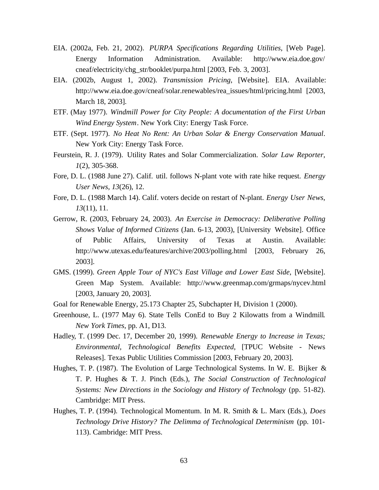- EIA. (2002a, Feb. 21, 2002). *PURPA Specifications Regarding Utilities*, [Web Page]. Energy Information Administration. Available: http://www.eia.doe.gov/ cneaf/electricity/chg\_str/booklet/purpa.html [2003, Feb. 3, 2003].
- EIA. (2002b, August 1, 2002). *Transmission Pricing*, [Website]. EIA. Available: http://www.eia.doe.gov/cneaf/solar.renewables/rea\_issues/html/pricing.html [2003, March 18, 2003].
- ETF. (May 1977). *Windmill Power for City People: A documentation of the First Urban Wind Energy System*. New York City: Energy Task Force.
- ETF. (Sept. 1977). *No Heat No Rent: An Urban Solar & Energy Conservation Manual*. New York City: Energy Task Force.
- Feurstein, R. J. (1979). Utility Rates and Solar Commercialization. *Solar Law Reporter, 1*(2), 305-368.
- Fore, D. L. (1988 June 27). Calif. util. follows N-plant vote with rate hike request. *Energy User News, 13*(26), 12.
- Fore, D. L. (1988 March 14). Calif. voters decide on restart of N-plant. *Energy User News, 13*(11), 11.
- Gerrow, R. (2003, February 24, 2003). *An Exercise in Democracy: Deliberative Polling Shows Value of Informed Citizens* (Jan. 6-13, 2003), [University Website]. Office of Public Affairs, University of Texas at Austin. Available: http://www.utexas.edu/features/archive/2003/polling.html [2003, February 26, 2003].
- GMS. (1999). *Green Apple Tour of NYC's East Village and Lower East Side*, [Website]. Green Map System. Available: http://www.greenmap.com/grmaps/nycev.html [2003, January 20, 2003].
- Goal for Renewable Energy, 25.173 Chapter 25, Subchapter H, Division 1 (2000).
- Greenhouse, L. (1977 May 6). State Tells ConEd to Buy 2 Kilowatts from a Windmill*. New York Times,* pp. A1, D13.
- Hadley, T. (1999 Dec. 17, December 20, 1999). *Renewable Energy to Increase in Texas; Environmental, Technological Benefits Expected*, [TPUC Website - News Releases]. Texas Public Utilities Commission [2003, February 20, 2003].
- Hughes, T. P. (1987). The Evolution of Large Technological Systems. In W. E. Bijker & T. P. Hughes & T. J. Pinch (Eds.), *The Social Construction of Technological Systems: New Directions in the Sociology and History of Technology* (pp. 51-82). Cambridge: MIT Press.
- Hughes, T. P. (1994). Technological Momentum. In M. R. Smith & L. Marx (Eds.), *Does Technology Drive History? The Delimma of Technological Determinism* (pp. 101- 113). Cambridge: MIT Press.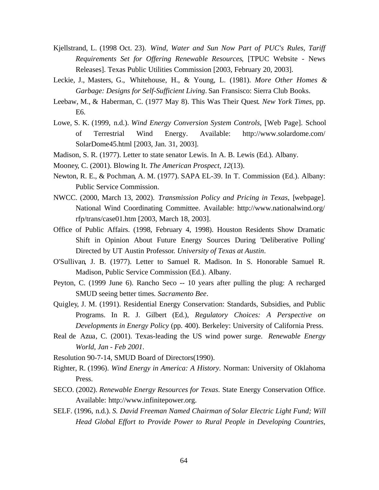- Kjellstrand, L. (1998 Oct. 23). *Wind, Water and Sun Now Part of PUC's Rules, Tariff Requirements Set for Offering Renewable Resources*, [TPUC Website - News Releases]. Texas Public Utilities Commission [2003, February 20, 2003].
- Leckie, J., Masters, G., Whitehouse, H., & Young, L. (1981). *More Other Homes & Garbage: Designs for Self-Sufficient Living*. San Fransisco: Sierra Club Books.
- Leebaw, M., & Haberman, C. (1977 May 8). This Was Their Quest*. New York Times,* pp. E6.
- Lowe, S. K. (1999, n.d.). *Wind Energy Conversion System Controls*, [Web Page]. School of Terrestrial Wind Energy. Available: http://www.solardome.com/ SolarDome45.html [2003, Jan. 31, 2003].
- Madison, S. R. (1977). Letter to state senator Lewis. In A. B. Lewis (Ed.). Albany.
- Mooney, C. (2001). Blowing It. *The American Prospect, 12*(13).
- Newton, R. E., & Pochman, A. M. (1977). SAPA EL-39. In T. Commission (Ed.). Albany: Public Service Commission.
- NWCC. (2000, March 13, 2002). *Transmission Policy and Pricing in Texas*, [webpage]. National Wind Coordinating Committee. Available: http://www.nationalwind.org/ rfp/trans/case01.htm [2003, March 18, 2003].
- Office of Public Affairs. (1998, February 4, 1998). Houston Residents Show Dramatic Shift in Opinion About Future Energy Sources During 'Deliberative Polling' Directed by UT Austin Professor*. University of Texas at Austin*.
- O'Sullivan, J. B. (1977). Letter to Samuel R. Madison. In S. Honorable Samuel R. Madison, Public Service Commission (Ed.). Albany.
- Peyton, C. (1999 June 6). Rancho Seco -- 10 years after pulling the plug: A recharged SMUD seeing better times*. Sacramento Bee*.
- Quigley, J. M. (1991). Residential Energy Conservation: Standards, Subsidies, and Public Programs. In R. J. Gilbert (Ed.), *Regulatory Choices: A Perspective on Developments in Energy Policy* (pp. 400). Berkeley: University of California Press.
- Real de Azua, C. (2001). Texas-leading the US wind power surge. *Renewable Energy World, Jan - Feb 2001*.
- Resolution 90-7-14, SMUD Board of Directors(1990).
- Righter, R. (1996). *Wind Energy in America: A History*. Norman: University of Oklahoma Press.
- SECO. (2002). *Renewable Energy Resources for Texas*. State Energy Conservation Office. Available: http://www.infinitepower.org.
- SELF. (1996, n.d.). *S. David Freeman Named Chairman of Solar Electric Light Fund; Will Head Global Effort to Provide Power to Rural People in Developing Countries*,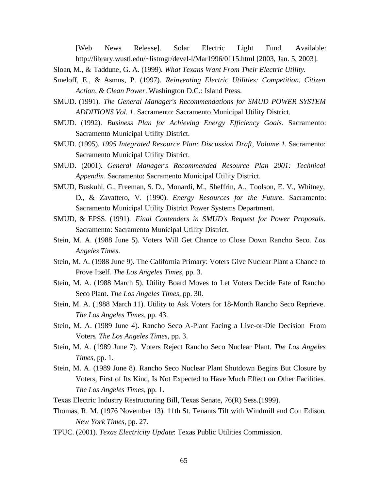[Web News Release]. Solar Electric Light Fund. Available: http://library.wustl.edu/~listmgr/devel-l/Mar1996/0115.html [2003, Jan. 5, 2003].

- Sloan, M., & Taddune, G. A. (1999). *What Texans Want From Their Electric Utility*.
- Smeloff, E., & Asmus, P. (1997). *Reinventing Electric Utilities: Competition, Citizen Action, & Clean Power*. Washington D.C.: Island Press.
- SMUD. (1991). *The General Manager's Recommendations for SMUD POWER SYSTEM ADDITIONS Vol. 1*. Sacramento: Sacramento Municipal Utility District.
- SMUD. (1992). *Business Plan for Achieving Energy Efficiency Goals*. Sacramento: Sacramento Municipal Utility District.
- SMUD. (1995). *1995 Integrated Resource Plan: Discussion Draft, Volume 1*. Sacramento: Sacramento Municipal Utility District.
- SMUD. (2001). *General Manager's Recommended Resource Plan 2001: Technical Appendix*. Sacramento: Sacramento Municipal Utility District.
- SMUD, Buskuhl, G., Freeman, S. D., Monardi, M., Sheffrin, A., Toolson, E. V., Whitney, D., & Zavattero, V. (1990). *Energy Resources for the Future*. Sacramento: Sacramento Municipal Utility District Power Systems Department.
- SMUD, & EPSS. (1991). *Final Contenders in SMUD's Request for Power Proposals*. Sacramento: Sacramento Municipal Utility District.
- Stein, M. A. (1988 June 5). Voters Will Get Chance to Close Down Rancho Seco*. Los Angeles Times*.
- Stein, M. A. (1988 June 9). The California Primary: Voters Give Nuclear Plant a Chance to Prove Itself*. The Los Angeles Times,* pp. 3.
- Stein, M. A. (1988 March 5). Utility Board Moves to Let Voters Decide Fate of Rancho Seco Plant*. The Los Angeles Times,* pp. 30.
- Stein, M. A. (1988 March 11). Utility to Ask Voters for 18-Month Rancho Seco Reprieve*. The Los Angeles Times,* pp. 43.
- Stein, M. A. (1989 June 4). Rancho Seco A-Plant Facing a Live-or-Die Decision From Voters*. The Los Angeles Times,* pp. 3.
- Stein, M. A. (1989 June 7). Voters Reject Rancho Seco Nuclear Plant*. The Los Angeles Times,* pp. 1.
- Stein, M. A. (1989 June 8). Rancho Seco Nuclear Plant Shutdown Begins But Closure by Voters, First of Its Kind, Is Not Expected to Have Much Effect on Other Facilities*. The Los Angeles Times,* pp. 1.
- Texas Electric Industry Restructuring Bill, Texas Senate, 76(R) Sess.(1999).
- Thomas, R. M. (1976 November 13). 11th St. Tenants Tilt with Windmill and Con Edison*. New York Times,* pp. 27.
- TPUC. (2001). *Texas Electricity Update*: Texas Public Utilities Commission.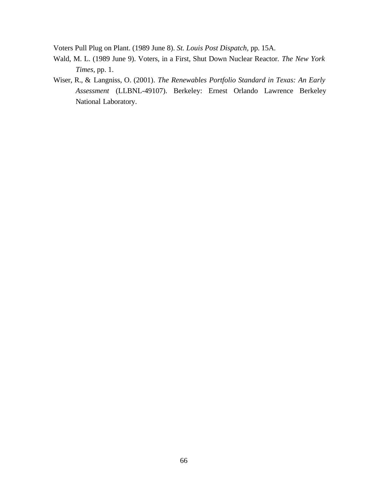Voters Pull Plug on Plant. (1989 June 8). *St. Louis Post Dispatch,* pp. 15A.

- Wald, M. L. (1989 June 9). Voters, in a First, Shut Down Nuclear Reactor*. The New York Times,* pp. 1.
- Wiser, R., & Langniss, O. (2001). *The Renewables Portfolio Standard in Texas: An Early Assessment* (LLBNL-49107). Berkeley: Ernest Orlando Lawrence Berkeley National Laboratory.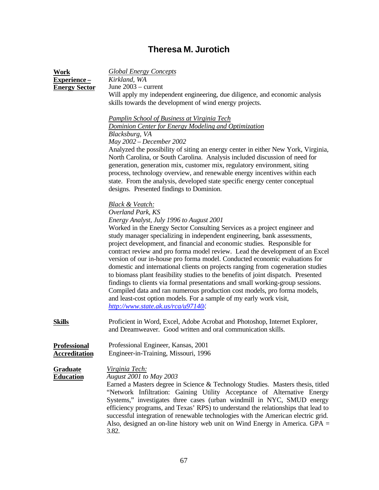## **Theresa M. Jurotich**

| <b>Work</b><br>Experience-<br><b>Energy Sector</b> | <b>Global Energy Concepts</b><br>Kirkland, WA<br>June $2003$ – current<br>Will apply my independent engineering, due diligence, and economic analysis<br>skills towards the development of wind energy projects.<br><b>Pamplin School of Business at Virginia Tech</b><br>Dominion Center for Energy Modeling and Optimization<br>Blacksburg, VA<br>May 2002 - December 2002<br>Analyzed the possibility of siting an energy center in either New York, Virginia,<br>North Carolina, or South Carolina. Analysis included discussion of need for<br>generation, generation mix, customer mix, regulatory environment, siting<br>process, technology overview, and renewable energy incentives within each<br>state. From the analysis, developed state specific energy center conceptual<br>designs. Presented findings to Dominion.                                                                                                                |
|----------------------------------------------------|-----------------------------------------------------------------------------------------------------------------------------------------------------------------------------------------------------------------------------------------------------------------------------------------------------------------------------------------------------------------------------------------------------------------------------------------------------------------------------------------------------------------------------------------------------------------------------------------------------------------------------------------------------------------------------------------------------------------------------------------------------------------------------------------------------------------------------------------------------------------------------------------------------------------------------------------------------|
|                                                    | <b>Black &amp; Veatch:</b><br>Overland Park, KS<br>Energy Analyst, July 1996 to August 2001<br>Worked in the Energy Sector Consulting Services as a project engineer and<br>study manager specializing in independent engineering, bank assessments,<br>project development, and financial and economic studies. Responsible for<br>contract review and pro forma model review. Lead the development of an Excel<br>version of our in-house pro forma model. Conducted economic evaluations for<br>domestic and international clients on projects ranging from cogeneration studies<br>to biomass plant feasibility studies to the benefits of joint dispatch. Presented<br>findings to clients via formal presentations and small working-group sessions.<br>Compiled data and ran numerous production cost models, pro forma models,<br>and least-cost option models. For a sample of my early work visit,<br>http://www.state.ak.us/rca/u97140/. |
| <b>Skills</b>                                      | Proficient in Word, Excel, Adobe Acrobat and Photoshop, Internet Explorer,<br>and Dreamweaver. Good written and oral communication skills.                                                                                                                                                                                                                                                                                                                                                                                                                                                                                                                                                                                                                                                                                                                                                                                                          |
| Professional<br><b>Accreditation</b>               | Professional Engineer, Kansas, 2001<br>Engineer-in-Training, Missouri, 1996                                                                                                                                                                                                                                                                                                                                                                                                                                                                                                                                                                                                                                                                                                                                                                                                                                                                         |
| <b>Graduate</b><br><b>Education</b>                | <u>Virginia Tech:</u><br>August 2001 to May 2003<br>Earned a Masters degree in Science & Technology Studies. Masters thesis, titled<br>"Network Infiltration: Gaining Utility Acceptance of Alternative Energy<br>Systems," investigates three cases (urban windmill in NYC, SMUD energy<br>efficiency programs, and Texas' RPS) to understand the relationships that lead to<br>successful integration of renewable technologies with the American electric grid.<br>Also, designed an on-line history web unit on Wind Energy in America. $GPA =$<br>3.82.                                                                                                                                                                                                                                                                                                                                                                                        |